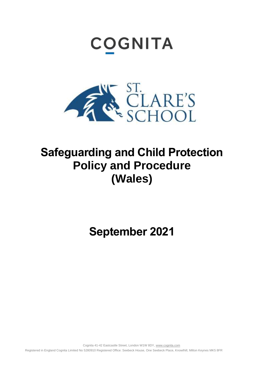# **COGNITA**



## **Safeguarding and Child Protection Policy and Procedure (Wales)**

**September 2021**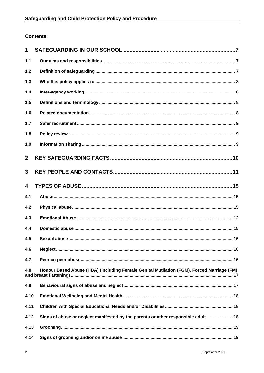### **Contents**

| 1              |                                                                                           |
|----------------|-------------------------------------------------------------------------------------------|
| 1.1            |                                                                                           |
| $1.2$          |                                                                                           |
| $1.3$          |                                                                                           |
| 1.4            |                                                                                           |
| 1.5            |                                                                                           |
| 1.6            |                                                                                           |
| $1.7$          |                                                                                           |
| 1.8            |                                                                                           |
| 1.9            |                                                                                           |
| $\overline{2}$ |                                                                                           |
| $\overline{3}$ |                                                                                           |
| 4              |                                                                                           |
| 4.1            |                                                                                           |
| 4.2            |                                                                                           |
| 4.3            |                                                                                           |
| 4.4            |                                                                                           |
| 4.5            |                                                                                           |
| 4.6            |                                                                                           |
| 4.7            |                                                                                           |
| 4.8            | Honour Based Abuse (HBA) (including Female Genital Mutilation (FGM), Forced Marriage (FM) |
| 4.9            |                                                                                           |
| 4.10           |                                                                                           |
| 4.11           |                                                                                           |
| 4.12           | Signs of abuse or neglect manifested by the parents or other responsible adult  18        |
| 4.13           |                                                                                           |
| 4.14           |                                                                                           |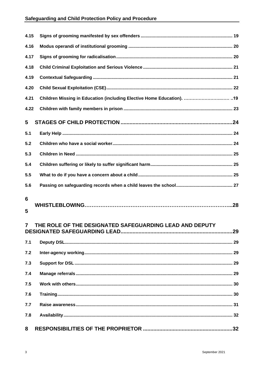| 4.15           |                                                         |     |
|----------------|---------------------------------------------------------|-----|
| 4.16           |                                                         |     |
| 4.17           |                                                         |     |
| 4.18           |                                                         |     |
| 4.19           |                                                         |     |
| 4.20           |                                                         |     |
| 4.21           |                                                         |     |
| 4.22           |                                                         |     |
| 5              |                                                         |     |
| 5.1            |                                                         |     |
| 5.2            |                                                         |     |
| 5.3            |                                                         |     |
| 5.4            |                                                         |     |
| 5.5            |                                                         |     |
| 5.6            |                                                         |     |
| 6<br>5         |                                                         |     |
| $\overline{7}$ | THE ROLE OF THE DESIGNATED SAFEGUARDING LEAD AND DEPUTY | .29 |
| 7.1            |                                                         |     |
| 7.2            |                                                         |     |
| 7.3            |                                                         |     |
| 7.4            |                                                         |     |
| 7.5            |                                                         |     |
| 7.6            |                                                         |     |
| 7.7            |                                                         |     |
| 7.8            |                                                         |     |
| 8              |                                                         |     |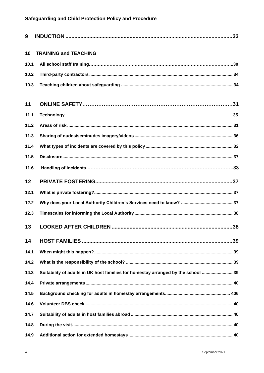| 9    |                                                                                   |
|------|-----------------------------------------------------------------------------------|
| 10   | <b>TRAINING and TEACHING</b>                                                      |
| 10.1 |                                                                                   |
| 10.2 |                                                                                   |
| 10.3 |                                                                                   |
| 11   |                                                                                   |
| 11.1 |                                                                                   |
| 11.2 |                                                                                   |
| 11.3 |                                                                                   |
| 11.4 |                                                                                   |
| 11.5 |                                                                                   |
| 11.6 |                                                                                   |
| 12   |                                                                                   |
| 12.1 |                                                                                   |
| 12.2 |                                                                                   |
| 12.3 |                                                                                   |
| 13   |                                                                                   |
| 14   |                                                                                   |
| 14.1 |                                                                                   |
| 14.2 |                                                                                   |
| 14.3 | Suitability of adults in UK host families for homestay arranged by the school  39 |
| 14.4 |                                                                                   |
| 14.5 |                                                                                   |
| 14.6 |                                                                                   |
| 14.7 |                                                                                   |
| 14.8 |                                                                                   |
| 14.9 |                                                                                   |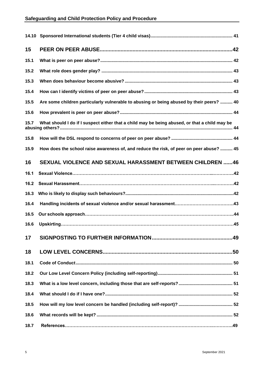| 15   |                                                                                               |
|------|-----------------------------------------------------------------------------------------------|
| 15.1 |                                                                                               |
| 15.2 |                                                                                               |
| 15.3 |                                                                                               |
| 15.4 |                                                                                               |
| 15.5 | Are some children particularly vulnerable to abusing or being abused by their peers?  40      |
| 15.6 |                                                                                               |
| 15.7 | What should I do if I suspect either that a child may be being abused, or that a child may be |
| 15.8 |                                                                                               |
| 15.9 | How does the school raise awareness of, and reduce the risk, of peer on peer abuse?  45       |
| 16   | <b>SEXUAL VIOLENCE AND SEXUAL HARASSMENT BETWEEN CHILDREN 46</b>                              |
| 16.1 |                                                                                               |
| 16.2 |                                                                                               |
| 16.3 |                                                                                               |
| 16.4 |                                                                                               |
| 16.5 |                                                                                               |
| 16.6 |                                                                                               |
| 17   |                                                                                               |
| 18   |                                                                                               |
| 18.1 |                                                                                               |
| 18.2 |                                                                                               |
| 18.3 |                                                                                               |
| 18.4 |                                                                                               |
| 18.5 |                                                                                               |
| 18.6 |                                                                                               |
| 18.7 |                                                                                               |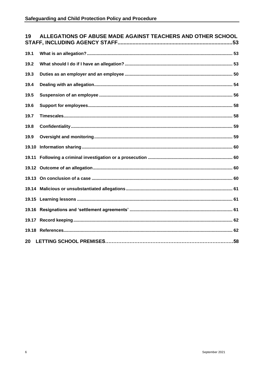| ALLEGATIONS OF ABUSE MADE AGAINST TEACHERS AND OTHER SCHOOL<br>19 |  |  |
|-------------------------------------------------------------------|--|--|
| 19.1                                                              |  |  |
| 19.2                                                              |  |  |
| 19.3                                                              |  |  |
| 19.4                                                              |  |  |
| 19.5                                                              |  |  |
| 19.6                                                              |  |  |
| 19.7                                                              |  |  |
| 19.8                                                              |  |  |
| 19.9                                                              |  |  |
| 19.10                                                             |  |  |
| 19.11                                                             |  |  |
|                                                                   |  |  |
|                                                                   |  |  |
|                                                                   |  |  |
|                                                                   |  |  |
|                                                                   |  |  |
|                                                                   |  |  |
|                                                                   |  |  |
| 20                                                                |  |  |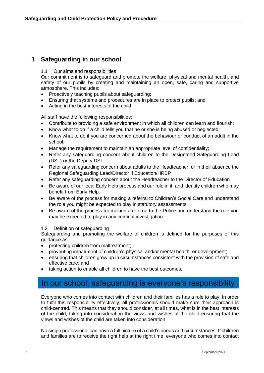## <span id="page-6-1"></span><span id="page-6-0"></span>**1 Safeguarding in our school**

#### 1.1 Our aims and responsibilities

Our commitment is to safeguard and promote the welfare, physical and mental health, and safety of our pupils by creating and maintaining an open, safe, caring and supportive atmosphere. This includes:

- Proactively teaching pupils about safeguarding;
- Ensuring that systems and procedures are in place to protect pupils; and
- Acting in the best interests of the child.

All staff have the following responsibilities:

- Contribute to providing a safe environment in which all children can learn and flourish;
- Know what to do if a child tells you that he or she is being abused or neglected;
- Know what to do if you are concerned about the behaviour or conduct of an adult in the school;
- Manage the requirement to maintain an appropriate level of confidentiality;
- Refer any safeguarding concern about children to the Designated Safeguarding Lead (DSL) or the Deputy DSL;
- Refer any safeguarding concern about adults to the Headteacher, or in their absence the Regional Safeguarding Lead/Director if Education/HRBP
- Refer any safeguarding concern about the Headteacher to the Director of Education
- Be aware of our local Early Help process and our role in it; and identify children who may benefit from Early Help.
- Be aware of the process for making a referral to Children's Social Care and understand the role you might be expected to play in statutory assessments.
- Be aware of the process for making a referral to the Police and understand the role you may be expected to play in any criminal investigation

#### <span id="page-6-2"></span>1.2 Definition of safeguarding

Safeguarding and promoting the welfare of children is defined for the purposes of this guidance as:

- protecting children from maltreatment;
- preventing impairment of children's physical and/or mental health, or development;
- ensuring that children grow up in circumstances consistent with the provision of safe and effective care; and
- taking action to enable all children to have the best outcomes.

## In our school, safeguarding is everyone's responsibility

Everyone who comes into contact with children and their families has a role to play. In order to fulfil this responsibility effectively, all professionals should make sure their approach is child-centred. This means that they should consider, at all times, what is in the best interests of the child, taking into consideration the views and wishes of the child ensuring that the views and wishes of the child are taken into consideration.

No single professional can have a full picture of a child's needs and circumstances. If children and families are to receive the right help at the right time, everyone who comes into contact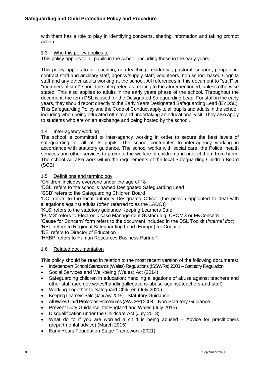with them has a role to play in identifying concerns, sharing information and taking prompt action.

#### <span id="page-7-0"></span>1.3 Who this policy applies to

This policy applies to all pupils in the school, including those in the early years.

This policy applies to all teaching, non-teaching, residential, pastoral, support, peripatetic, contract staff and ancillary staff, agency/supply staff, volunteers, non-school based Cognita staff and any other adults working at the school. All references in this document to "staff" or "members of staff" should be interpreted as relating to the aforementioned, unless otherwise stated. This also applies to adults in the early years phase of the school. Throughout the document, the term DSL is used for the Designated Safeguarding Lead. For staff in the early years, they should report directly to the Early Years Designated Safeguarding Lead (EYDSL). This Safeguarding Policy and the Code of Conduct apply to all pupils and adults in the school, including when being educated off-site and undertaking an educational visit. They also apply to students who are on an exchange and being hosted by the school.

#### <span id="page-7-1"></span>1.4 Inter-agency working

The school is committed to inter-agency working in order to secure the best levels of safeguarding for all of its pupils. The school contributes to inter-agency working in accordance with statutory guidance. The school works with social care, the Police, health services and other services to promote the welfare of children and protect them from harm. The school will also work within the requirements of the local Safeguarding Children Board (SCB).

#### <span id="page-7-2"></span>1.5 Definitions and terminology

'Children' includes everyone under the age of 18

'DSL' refers to the school's named Designated Safeguarding Lead

'SCB' refers to the Safeguarding Children Board

'DO' refers to the local authority Designated Officer (the person appointed to deal with allegations against adults (often referred to as the LADO))

'KLS' refers to the statutory guidance Keeping Learners Safe

'ECMS' refers to Electronic case Management System e.g. CPOMS or MyConcern

'Cause for Concern' form refers to the document included in the DSL Toolkit (*internal doc*) 'RSL' refers to Regional Safeguarding Lead (Europe) for Cognita

'DE' refers to Director of Education

'HRBP' refers to Human Resources Business Partner'

#### <span id="page-7-3"></span>1.6 Related documentation

This policy should be read in relation to the most recent version of the following documents:

- Independent School Standards (Wales) Regulations (ISSWRs) 2003 Statutory Regulation
- Social Services and Well-being (Wales) Act (2014)
- Safeguarding children in education: handling allegations of abuse against teachers and other staff (see gov.wales/handlingallegations-abuse-against-teachers-and-staff)
- Working Together to Safeguard Children (July 2020)
- Keeping Learners Safe (January 2015) Statutory Guidance
- All Wales Child Protection Procedures (AWCPP) 2008 Non Statutory Guidance
- Prevent Duty Guidance: for England and Wales (July 2015)
- Disqualification under the Childcare Act (July 2018)
- What do to if you are worried a child is being abused  $-$  Advice for practitioners (departmental advice) (March 2015)
- Early Years Foundation Stage Framework (2021)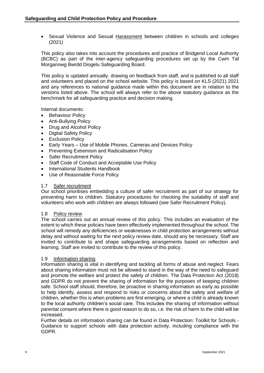• Sexual Violence and Sexual [Harassment](https://assets.publishing.service.gov.uk/government/uploads/system/uploads/attachment_data/file/999239/SVSH_2021.pdf) between children in schools and colleges (2021)

This policy also takes into account the procedures and practice of Bridgend Local Authority (BCBC) as part of the inter-agency safeguarding procedures set up by the Cwm Taf Morgannwg Bwrdd Diogelu Safeguarding Board.

This policy is updated annually, drawing on feedback from staff, and is published to all staff and volunteers and placed on the school website. This policy is based on KLS (2021) 2021 and any references to national guidance made within this document are in relation to the versions listed above. The school will always refer to the above statutory guidance as the benchmark for all safeguarding practice and decision making.

Internal documents:

- Behaviour Policy
- Anti-Bullying Policy
- Drug and Alcohol Policy
- Digital Safety Policy
- **Exclusion Policy**
- Early Years Use of Mobile Phones, Cameras and Devices Policy
- Preventing Extremism and Radicalisation Policy
- **Safer Recruitment Policy**
- Staff Code of Conduct and Acceptable Use Policy
- International Students Handbook
- Use of Reasonable Force Policy

#### <span id="page-8-0"></span>1.7 Safer recruitment

Our school prioritises embedding a culture of safer recruitment as part of our strategy for preventing harm to children. Statutory procedures for checking the suitability of staff and volunteers who work with children are always followed (see Safer Recruitment Policy).

#### <span id="page-8-1"></span>1.8 Policy review

The school carries out an annual review of this policy. This includes an evaluation of the extent to which these policies have been effectively implemented throughout the school. The school will remedy any deficiencies or weaknesses in child protection arrangements without delay and without waiting for the next policy review date, should any be necessary. Staff are invited to contribute to and shape safeguarding arrangements based on reflection and learning. Staff are invited to contribute to the review of this policy.

#### <span id="page-8-2"></span>1.9 Information sharing

Information sharing is vital in identifying and tackling all forms of abuse and neglect. Fears about sharing information must not be allowed to stand in the way of the need to safeguard and promote the welfare and protect the safety of children. The Data Protection Act (2018) and GDPR do not prevent the sharing of information for the purposes of keeping children safe. School staff should, therefore, be proactive in sharing information as early as possible to help identify, assess and respond to risks or concerns about the safety and welfare of children, whether this is when problems are first emerging, or where a child is already known to the local authority children's social care. This includes the sharing of information without parental consent where there is good reason to do so, i.e. the risk of harm to the child will be increased.

Further details on information sharing can be found in Data Protection: Toolkit for Schools - Guidance to support schools with data protection activity, including compliance with the GDPR.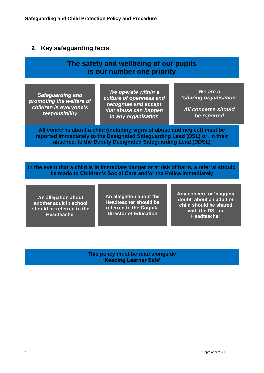## <span id="page-9-0"></span>**2 Key safeguarding facts**

## **The safety and wellbeing of our pupils is our number one priority**

*Safeguarding and promoting the welfare of children is everyone's responsibility*

*We operate within a culture of openness and recognise and accept that abuse can happen in any organisation*

*We are a 'sharing organisation'* 

*All concerns should be reported*

**All concerns about a child (including signs of abuse and neglect) must be reported immediately to the Designated Safeguarding Lead (DSL) or, in their absence, to the Deputy Designated Safeguarding Lead (DDSL)**

**In the event that a child is in immediate danger or at risk of harm, a referral should be made to Children's Social Care and/or the Police immediately**

**An allegation about another adult in school should be referred to the Headteacher**

**An allegation about the Headteacher should be referred to the Cognita Director of Education** 

**Any concern or 'nagging doubt' about an adult or child should be shared with the DSL or Headteacher**

**This policy must be read alongside 'Keeping Learner Safe'**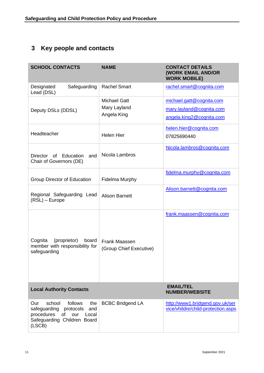## <span id="page-10-0"></span>**3 Key people and contacts**

| <b>SCHOOL CONTACTS</b>                                                                                                                           | <b>NAME</b>                                        | <b>CONTACT DETAILS</b><br><b>(WORK EMAIL AND/OR</b><br><b>WORK MOBILE)</b>       |
|--------------------------------------------------------------------------------------------------------------------------------------------------|----------------------------------------------------|----------------------------------------------------------------------------------|
| Safeguarding<br>Designated<br>Lead (DSL)                                                                                                         | <b>Rachel Smart</b>                                | rachel.smart@cognita.com                                                         |
| Deputy DSLs (DDSL)                                                                                                                               | <b>Michael Gatt</b><br>Mary Layland<br>Angela King | michael.gatt@cognita.com<br>mary.layland@cognita.com<br>angela.king2@cognita.com |
| Headteacher                                                                                                                                      | <b>Helen Hier</b>                                  | helen.hier@cognita.com<br>07825690440                                            |
| Director<br>of Education<br>and<br>Chair of Governors (DE)                                                                                       | Nicola Lambros                                     | Nicola.lambros@cognita.com                                                       |
| Group Director of Education                                                                                                                      | <b>Fidelma Murphy</b>                              | fidelma.murphy@cognita.com                                                       |
| Regional Safeguarding Lead<br>$(RSL)$ – Europe                                                                                                   | <b>Alison Barnett</b>                              | Alison.barnett@cognita.com                                                       |
| Cognita<br>(proprietor)<br>board<br>member with responsibility for<br>safeguarding                                                               | Frank Maassen<br>(Group Chief Executive)           | frank.maassen@cognita.com                                                        |
| <b>Local Authority Contacts</b>                                                                                                                  |                                                    | <b>EMAIL/TEL</b><br><b>NUMBER/WEBSITE</b>                                        |
| school<br>follows<br>the<br>Our<br>safeguarding<br>protocols<br>and<br>procedures<br>of<br>our<br>Local<br>Safeguarding Children Board<br>(LSCB) | <b>BCBC Bridgend LA</b>                            | http://www1.bridgend.gov.uk/ser<br>vice/vhildre/child-protection.aspx            |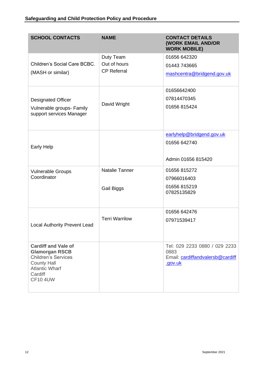| <b>SCHOOL CONTACTS</b>                                                                                                                                         | <b>NAME</b>           | <b>CONTACT DETAILS</b><br><b>(WORK EMAIL AND/OR</b><br><b>WORK MOBILE)</b>           |
|----------------------------------------------------------------------------------------------------------------------------------------------------------------|-----------------------|--------------------------------------------------------------------------------------|
|                                                                                                                                                                | Duty Team             | 01656 642320                                                                         |
| Children's Social Care BCBC.                                                                                                                                   | Out of hours          | 01443 743665                                                                         |
| (MASH or similar)                                                                                                                                              | <b>CP Referral</b>    | mashcentra@bridgend.gov.uk                                                           |
|                                                                                                                                                                |                       | 01656642400                                                                          |
| <b>Designated Officer</b>                                                                                                                                      |                       | 07814470345                                                                          |
| Vulnerable groups- Family<br>support services Manager                                                                                                          | David Wright          | 01656 815424                                                                         |
|                                                                                                                                                                |                       | earlyhelp@bridgend.gov.uk                                                            |
| <b>Early Help</b>                                                                                                                                              |                       | 01656 642740                                                                         |
|                                                                                                                                                                |                       | Admin 01656 815420                                                                   |
| <b>Vulnerable Groups</b>                                                                                                                                       | <b>Natalie Tanner</b> | 01656 815272                                                                         |
| Coordinator                                                                                                                                                    |                       | 07966016403                                                                          |
|                                                                                                                                                                | Gail Biggs            | 01656 815219<br>07825135829                                                          |
|                                                                                                                                                                |                       | 01656 642476                                                                         |
| <b>Local Authority Prevent Lead</b>                                                                                                                            | <b>Terri Warrilow</b> | 07971539417                                                                          |
| <b>Cardiff and Vale of</b><br><b>Glamorgan RSCB</b><br><b>Children's Services</b><br><b>County Hall</b><br><b>Atlantic Wharf</b><br>Cardiff<br><b>CF10 4UW</b> |                       | Tel: 029 2233 0880 / 029 2233<br>0883<br>Email: cardiffandvalersb@cardiff<br>.gov.uk |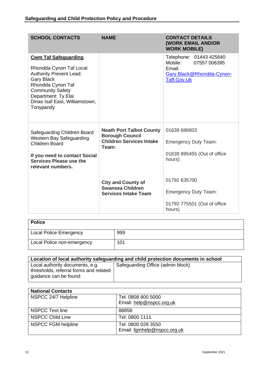| <b>SCHOOL CONTACTS</b>                                                                                                                                                                                                              | <b>NAME</b>                                                                                           | <b>CONTACT DETAILS</b><br><b>(WORK EMAIL AND/OR</b><br><b>WORK MOBILE)</b>                                      |
|-------------------------------------------------------------------------------------------------------------------------------------------------------------------------------------------------------------------------------------|-------------------------------------------------------------------------------------------------------|-----------------------------------------------------------------------------------------------------------------|
| <b>Cwm Taf Safeguarding</b><br>Rhondda Cynon Taf Local<br><b>Authority Prevent Lead:</b><br><b>Gary Black</b><br>Rhondda Cynon Taf<br><b>Community Safety</b><br>Department: Ty Elai<br>Dinas Isaf East, Williamstown,<br>Tonypandy |                                                                                                       | Telephone: 01443 425640<br>Mobile:<br>07557 006395<br>Email:<br>Gary.Black@Rhondda-Cynon-<br><b>Taff.Gov.Uk</b> |
| Safeguarding Children Board<br>Western Bay Safeguarding<br><b>Children Board</b><br>If you need to contact Social<br>Services Please use the<br>relevant numbers.                                                                   | <b>Neath Port Talbot County</b><br><b>Borough Council</b><br><b>Children Services Intake</b><br>Team: | 01639 686803<br><b>Emergency Duty Team:</b><br>01639 895455 (Out of office<br>hours)                            |
|                                                                                                                                                                                                                                     | <b>City and County of</b><br><b>Swansea Children</b><br><b>Services Intake Team</b>                   | 01792 635700<br><b>Emergency Duty Team:</b><br>01792 775501 (Out of office<br>hours)                            |

| <b>Police</b>                 |     |
|-------------------------------|-----|
| <b>Local Police Emergency</b> | 999 |
| Local Police non-emergency    | 101 |

| Location of local authority safeguarding and child protection documents in school                   |                                   |  |
|-----------------------------------------------------------------------------------------------------|-----------------------------------|--|
| Local authority documents, e.g.<br>thresholds, referral forms and related<br>quidance can be found: | Safeguarding Office (admin block) |  |

| <b>National Contacts</b> |                             |  |
|--------------------------|-----------------------------|--|
| NSPCC 24/7 Helpline      | Tel: 0808 800 5000          |  |
|                          | Email: help@nspcc.org.uk    |  |
| NSPCC Text line          | 88858                       |  |
| <b>NSPCC Child Line</b>  | Tel: 0800 1111              |  |
| NSPCC FGM helpline       | Tel: 0800 028 3550          |  |
|                          | Email: fgmhelp@nspcc.org.uk |  |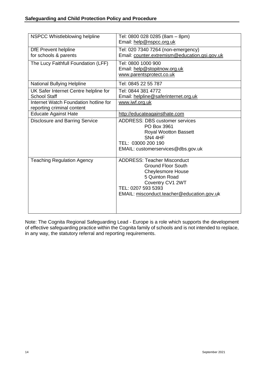| NSPCC Whistleblowing helpline                                       | Tel: 0800 028 0285 (8am - 8pm)<br>Email: help@nspcc.org.uk                                                                                                                                            |
|---------------------------------------------------------------------|-------------------------------------------------------------------------------------------------------------------------------------------------------------------------------------------------------|
| <b>DfE</b> Prevent helpline<br>for schools & parents                | Tel: 020 7340 7264 (non-emergency)<br>Email: counter.extremism@education.gsi.gov.uk                                                                                                                   |
| The Lucy Faithfull Foundation (LFF)                                 | Tel: 0800 1000 900<br>Email: help@stopitnow.org.uk<br>www.parentsprotect.co.uk                                                                                                                        |
| <b>National Bullying Helpline</b>                                   | Tel: 0845 22 55 787                                                                                                                                                                                   |
| UK Safer Internet Centre helpline for<br><b>School Staff</b>        | Tel: 0844 381 4772<br>Email: helpline@saferinternet.org.uk                                                                                                                                            |
| Internet Watch Foundation hotline for<br>reporting criminal content | www.iwf.org.uk                                                                                                                                                                                        |
| <b>Educate Against Hate</b>                                         | http://educateagainsthate.com                                                                                                                                                                         |
| <b>Disclosure and Barring Service</b>                               | <b>ADDRESS: DBS customer services</b><br>PO Box 3961<br><b>Royal Wootton Bassett</b><br>SN4 4HF<br>TEL: 03000 200 190<br>EMAIL: customerservices@dbs.gov.uk                                           |
| <b>Teaching Regulation Agency</b>                                   | <b>ADDRESS: Teacher Misconduct</b><br><b>Ground Floor South</b><br><b>Cheylesmore House</b><br>5 Quinton Road<br>Coventry CV1 2WT<br>TEL: 0207 593 5393<br>EMAIL: misconduct.teacher@education.gov.uk |

Note: The Cognita Regional Safeguarding Lead - Europe is a role which supports the development of effective safeguarding practice within the Cognita family of schools and is not intended to replace, in any way, the statutory referral and reporting requirements.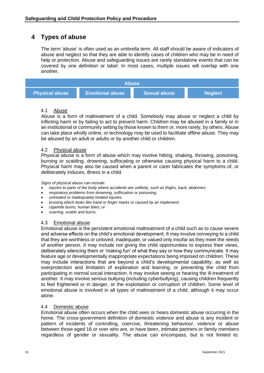## <span id="page-14-0"></span>**4 Types of abuse**

The term 'abuse' is often used as an umbrella term. All staff should be aware of indicators of abuse and neglect so that they are able to identify cases of children who may be in need of help or protection. Abuse and safeguarding issues are rarely standalone events that can be covered by one definition or label. In most cases, multiple issues will overlap with one another.

| <b>Abuse</b>          |                        |                     |                |  |
|-----------------------|------------------------|---------------------|----------------|--|
| <b>Physical abuse</b> | <b>Emotional abuse</b> | <b>Sexual abuse</b> | <b>Neglect</b> |  |

#### <span id="page-14-1"></span>4.1 Abuse

Abuse is a form of maltreatment of a child. Somebody may abuse or neglect a child by inflicting harm or by failing to act to prevent harm. Children may be abused in a family or in an institutional or community setting by those known to them or, more rarely, by others. Abuse can take place wholly online, or technology may be used to facilitate offline abuse. They may be abused by an adult or adults or by another child or children.

#### <span id="page-14-2"></span>4.2 Physical abuse

Physical abuse is a form of abuse which may involve hitting, shaking, throwing, poisoning, burning or scalding, drowning, suffocating or otherwise causing physical harm to a child. Physical harm may also be caused when a parent or carer fabricates the symptoms of, or deliberately induces, illness in a child.

#### *Signs of physical abuse can include:*

- *injuries to parts of the body where accidents are unlikely, such as thighs, back, abdomen;*
- *respiratory problems from drowning, suffocation or poisoning;*
- *untreated or inadequately treated injuries;*
- *bruising which looks like hand or finger marks or caused by an implement;*
- *cigarette burns, human bites; or*
- *scarring, scalds and burns.*

#### 4.3 Emotional abuse

Emotional abuse is the persistent emotional maltreatment of a child such as to cause severe and adverse effects on the child's emotional development. It may involve conveying to a child that they are worthless or unloved, inadequate, or valued only insofar as they meet the needs of another person. It may include not giving the child opportunities to express their views, deliberately silencing them or 'making fun' of what they say or how they communicate. It may feature age or developmentally inappropriate expectations being imposed on children. These may include interactions that are beyond a child's developmental capability, as well as overprotection and limitation of exploration and learning, or preventing the child from participating in normal social interaction. It may involve seeing or hearing the ill-treatment of another. It may involve serious bullying (including cyberbullying), causing children frequently to feel frightened or in danger, or the exploitation or corruption of children. Some level of emotional abuse is involved in all types of maltreatment of a child, although it may occur alone.

#### <span id="page-14-3"></span>4.4 Domestic abuse

Emotional abuse often occurs when the child sees or hears domestic abuse occurring in the home. The cross-government definition of domestic violence and abuse is any incident or pattern of incidents of controlling, coercive, threatening behaviour, violence or abuse between those aged 16 or over who are, or have been, intimate partners or family members regardless of gender or sexuality. The abuse can encompass, but is not limited to: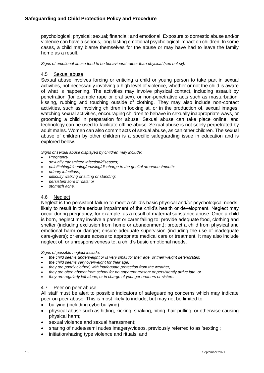psychological; physical; sexual; financial; and emotional. Exposure to domestic abuse and/or violence can have a serious, long lasting emotional psychological impact on children. In some cases, a child may blame themselves for the abuse or may have had to leave the family home as a result.

*Signs of emotional abuse tend to be behavioural rather than physical (see below).* 

#### <span id="page-15-0"></span>4.5 Sexual abuse

Sexual abuse involves forcing or enticing a child or young person to take part in sexual activities, not necessarily involving a high level of violence, whether or not the child is aware of what is happening. The activities may involve physical contact, including assault by penetration (for example rape or oral sex), or non-penetrative acts such as masturbation, kissing, rubbing and touching outside of clothing. They may also include non-contact activities, such as involving children in looking at, or in the production of, sexual images, watching sexual activities, encouraging children to behave in sexually inappropriate ways, or grooming a child in preparation for abuse. Sexual abuse can take place online, and technology can be used to facilitate offline abuse. Sexual abuse is not solely perpetrated by adult males. Women can also commit acts of sexual abuse, as can other children. The sexual abuse of children by other children is a specific safeguarding issue in education and is explored below.

*Signs of sexual abuse displayed by children may include:*

- *Pregnancy*
- *sexually transmitted infection/diseases;*
- *pain/itching/bleeding/bruising/discharge to the genital area/anus/mouth;*
- *urinary infections;*
- *difficulty walking or sitting or standing;*
- *persistent sore throats; or*
- *stomach ache.*

#### <span id="page-15-1"></span>4.6 Neglect

Neglect is the persistent failure to meet a child's basic physical and/or psychological needs, likely to result in the serious impairment of the child's health or development. Neglect may occur during pregnancy, for example, as a result of maternal substance abuse. Once a child is born, neglect may involve a parent or carer failing to: provide adequate food, clothing and shelter (including exclusion from home or abandonment); protect a child from physical and emotional harm or danger; ensure adequate supervision (including the use of inadequate care-givers); or ensure access to appropriate medical care or treatment. It may also include neglect of, or unresponsiveness to, a child's basic emotional needs.

*Signs of possible neglect include:*

- *the child seems underweight or is very small for their age, or their weight deteriorates;*
- *the child seems very overweight for their age;*
- *they are poorly clothed, with inadequate protection from the weather;*
- *they are often absent from school for no apparent reason; or persistently arrive late: or*
- *they are regularly left alone, or in charge of younger brothers or sisters.*

#### <span id="page-15-2"></span>4.7 Peer on peer abuse

All staff must be alert to possible indicators of safeguarding concerns which may indicate peer on peer abuse. This is most likely to include, but may not be limited to:

- [bullying](https://safeguarding.network/safeguarding-resources/bullying/) (including [cyberbullying\)](https://safeguarding.network/safeguarding-resources/bullying/cyberbullying/);
- physical abuse such as hitting, kicking, shaking, biting, hair pulling, or otherwise causing physical harm;
- sexual violence and sexual harassment;
- sharing of nudes/semi nudes imagery/videos, previously referred to as 'sexting';
- initiation/hazing type violence and rituals; and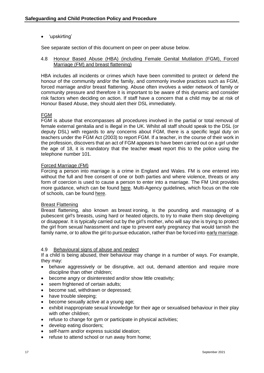• 'upskirting'

See separate section of this document on peer on peer abuse below.

#### <span id="page-16-0"></span>4.8 Honour Based Abuse (HBA) (including Female Genital Mutilation (FGM), Forced Marriage (FM) and breast flattening)

HBA includes all incidents or crimes which have been committed to protect or defend the honour of the community and/or the family, and commonly involve practices such as FGM, forced marriage and/or breast flattening. Abuse often involves a wider network of family or community pressure and therefore it is important to be aware of this dynamic and consider risk factors when deciding on action. If staff have a concern that a child may be at risk of Honour Based Abuse, they should alert their DSL immediately.

#### FGM

FGM is abuse that encompasses all procedures involved in the partial or total removal of female external genitalia and is illegal in the UK. Whilst all staff should speak to the DSL (or deputy DSL) with regards to any concerns about FGM, there is a specific legal duty on teachers under the FGM Act (2003) to report FGM. If a teacher, in the course of their work in the profession, discovers that an act of FGM appears to have been carried out on a girl under the age of 18, it is mandatory that the teacher **must** report this to the police using the telephone number 101.

#### Forced Marriage (FM)

Forcing a person into marriage is a crime in England and Wales. FM is one entered into without the full and free consent of one or both parties and where violence, threats or any form of coercion is used to cause a person to enter into a marriage. The FM Unit provides more guidance, which can be found [here.](https://www.gov.uk/government/uploads/system/uploads/attachment_data/file/322310/HMG_Statutory_Guidance_publication_180614_Final.pdf) Multi-Agency guidelines, which focus on the role of schools, can be found [here.](https://www.gov.uk/government/uploads/system/uploads/attachment_data/file/322307/HMG_MULTI_AGENCY_PRACTICE_GUIDELINES_v1_180614_FINAL.pdf)

#### Breast Flattening

Breast flattening, also known as breast ironing, is the pounding and massaging of a pubescent girl's breasts, using hard or heated objects, to try to make them stop developing or disappear. It is typically carried out by the girl's mother, who will say she is trying to protect the girl from sexual harassment and rape to prevent early pregnancy that would tarnish the family name, or to allow the girl to pursue education, rather than be forced into [early marriage.](https://en.wikipedia.org/wiki/Child_marriage)

#### <span id="page-16-1"></span>4.9 Behavioural signs of abuse and neglect

If a child is being abused, their behaviour may change in a number of ways. For example, they may:

- behave aggressively or be disruptive, act out, demand attention and require more discipline than other children;
- become angry or disinterested and/or show little creativity;
- seem frightened of certain adults:
- become sad, withdrawn or depressed;
- have trouble sleeping;
- become sexually active at a young age;
- exhibit inappropriate sexual knowledge for their age or sexualised behaviour in their play with other children;
- refuse to change for gym or participate in physical activities;
- develop eating disorders;
- self-harm and/or express suicidal ideation;
- refuse to attend school or run away from home: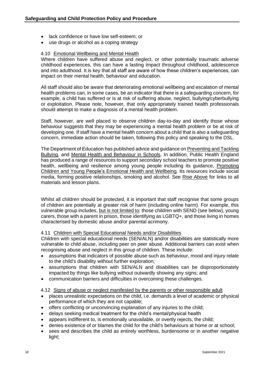- lack confidence or have low self-esteem; or
- use drugs or alcohol as a coping strategy

#### <span id="page-17-0"></span>4.10 Emotional Wellbeing and Mental Health

Where children have suffered abuse and neglect, or other potentially traumatic adverse childhood experiences, this can have a lasting impact throughout childhood, adolescence and into adulthood. It is key that all staff are aware of how these children's experiences, can impact on their mental health, behaviour and education.

All staff should also be aware that deteriorating emotional wellbeing and escalation of mental health problems can, in some cases, be an indicator that there is a safeguarding concern, for example, a child has suffered or is at risk of suffering abuse, neglect, bullying/cyberbullying or exploitation. Please note, however, that only appropriately trained health professionals should attempt to make a diagnosis of a mental health problem.

Staff, however, are well placed to observe children day-to-day and identify those whose behaviour suggests that they may be experiencing a mental health problem or be at risk of developing one. If staff have a mental health concern about a child that is also a safeguarding concern, immediate action should be taken, following this policy and speaking to the DSL.

The Department of Education has published advice and guidance on [Preventing and Tackling](https://www.gov.uk/government/publications/preventing-and-tackling-bullying)  [Bullying,](https://www.gov.uk/government/publications/preventing-and-tackling-bullying) and [Mental Health and Behaviour in Schools.](https://www.gov.uk/government/publications/promoting-children-and-young-peoples-emotional-health-and-wellbeing) In addition, Public Health England has produced a range of resources to support secondary school teachers to promote positive health, wellbeing and resilience among young people including its guidance, [Promoting](https://assets.publishing.service.gov.uk/government/uploads/system/uploads/attachment_data/file/958151/Promoting_children_and_young_people_s_emotional_health_and_wellbeing_a_whole_school_and_college_approach.pdf)  [Children and Young People's Emotional Health and Wellbeing.](https://assets.publishing.service.gov.uk/government/uploads/system/uploads/attachment_data/file/958151/Promoting_children_and_young_people_s_emotional_health_and_wellbeing_a_whole_school_and_college_approach.pdf) Its resources include social media, forming positive relationships, smoking and alcohol. See [Rise Above](https://riseabove.org.uk/about/) for links to all materials and lesson plans.

Whilst all children should be protected, it is important that staff recognise that some groups of children are potentially at greater risk of harm (including online harm). For example, this vulnerable group includes, but is not limited to: those children with SEND (see below), young carers, those with a parent in prison, those identifying as LGBTQ+, and those living in homes characterised by domestic abuse and/or parental acrimony.

#### <span id="page-17-1"></span>4.11 Children with Special Educational Needs and/or Disabilities

Children with special educational needs (SEN/ALN) and/or disabilities are statistically more vulnerable to child abuse, including peer on peer abuse. Additional barriers can exist when recognising abuse and neglect in this group of children. These include:

- assumptions that indicators of possible abuse such as behaviour, mood and injury relate to the child's disability without further exploration;
- assumptions that children with SEN/ALN and disabilities can be disproportionately impacted by things like bullying without outwardly showing any signs; and
- communication barriers and difficulties in overcoming these challenges.

#### <span id="page-17-2"></span>4.12 Signs of abuse or neglect manifested by the parents or other responsible adult

- places unrealistic expectations on the child, i.e. demands a level of academic or physical performance of which they are not capable;
- offers conflicting or unconvincing explanation of any injuries to the child;
- delays seeking medical treatment for the child's mental/physical health
- appears indifferent to, is emotionally unavailable, or overtly rejects, the child;
- denies existence of or blames the child for the child's behaviours at home or at school;
- sees and describes the child as entirely worthless, burdensome or in another negative light;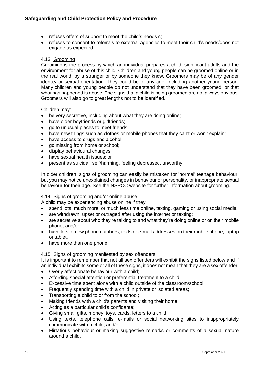- refuses offers of support to meet the child's needs s;
- refuses to consent to referrals to external agencies to meet their child's needs/does not engage as expected

#### <span id="page-18-0"></span>4.13 Grooming

Grooming is the process by which an individual prepares a child, significant adults and the environment for abuse of this child. Children and young people can be groomed online or in the real world, by a stranger or by someone they know. Groomers may be of any gender identity or sexual orientation. They could be of any age, including another young person. Many children and young people do not understand that they have been groomed, or that what has happened is abuse. The signs that a child is being groomed are not always obvious. Groomers will also go to great lengths not to be identified.

Children may:

- be very secretive, including about what they are doing online:
- have older boyfriends or girlfriends;
- go to unusual places to meet friends;
- have new things such as clothes or mobile phones that they can't or won't explain;
- have access to drugs and alcohol;
- go missing from home or school;
- display behavioural changes;
- have sexual health issues; or
- present as suicidal, self/harming, feeling depressed, unworthy.

In older children, signs of grooming can easily be mistaken for 'normal' teenage behaviour, but you may notice unexplained changes in behaviour or personality, or inappropriate sexual behaviour for their age. See the [NSPCC website](https://www.nspcc.org.uk/preventing-abuse/keeping-children-safe/healthy-sexual-behaviour-children-young-people/) for further information about grooming.

#### <span id="page-18-1"></span>4.14 Signs of grooming and/or online abuse

A child may be experiencing abuse online if they:

- spend lots, much more, or much less time online, texting, gaming or using social media;
- are withdrawn, upset or outraged after using the internet or texting;
- are secretive about who they're talking to and what they're doing online or on their mobile phone; and/or
- have lots of new phone numbers, texts or e-mail addresses on their mobile phone, laptop or tablet.
- have more than one phone

#### <span id="page-18-2"></span>4.15 Signs of grooming manifested by sex offenders

It is important to remember that not all sex offenders will exhibit the signs listed below and if an individual exhibits some or all of these signs, it does not mean that they are a sex offender:

- Overly affectionate behaviour with a child;
- Affording special attention or preferential treatment to a child;
- Excessive time spent alone with a child outside of the classroom/school;
- Frequently spending time with a child in private or isolated areas;
- Transporting a child to or from the school;
- Making friends with a child's parents and visiting their home;
- Acting as a particular child's confidante;
- Giving small gifts, money, toys, cards, letters to a child;
- Using texts, telephone calls, e-mails or social networking sites to inappropriately communicate with a child; and/or
- Flirtatious behaviour or making suggestive remarks or comments of a sexual nature around a child.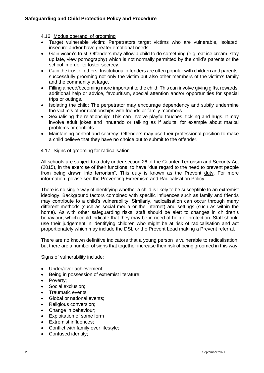#### <span id="page-19-0"></span>4.16 Modus operandi of grooming

- Target vulnerable victim: Perpetrators target victims who are vulnerable, isolated, insecure and/or have greater emotional needs.
- Gain victim's trust: Offenders may allow a child to do something (e.g. eat ice cream, stay up late, view pornography) which is not normally permitted by the child's parents or the school in order to foster secrecy.
- Gain the trust of others: Institutional offenders are often popular with children and parents, successfully grooming not only the victim but also other members of the victim's family and the community at large.
- Filling a need/becoming more important to the child: This can involve giving gifts, rewards, additional help or advice, favouritism, special attention and/or opportunities for special trips or outings.
- Isolating the child: The perpetrator may encourage dependency and subtly undermine the victim's other relationships with friends or family members.
- Sexualising the relationship: This can involve playful touches, tickling and hugs. It may involve adult jokes and innuendo or talking as if adults, for example about marital problems or conflicts.
- Maintaining control and secrecy: Offenders may use their professional position to make a child believe that they have no choice but to submit to the offender.

#### <span id="page-19-1"></span>4.17 Signs of grooming for radicalisation

All schools are subject to a duty under section 26 of the Counter Terrorism and Security Act (2015), in the exercise of their functions, to have "due regard to the need to prevent people from being drawn into terrorism". This duty is known as the Prevent [duty.](https://www.gov.uk/government/publications/prevent-duty-guidance) For more information, please see the Preventing Extremism and Radicalisation Policy.

There is no single way of identifying whether a child is likely to be susceptible to an extremist ideology. Background factors combined with specific influences such as family and friends may contribute to a child's vulnerability. Similarly, radicalisation can occur through many different methods (such as social media or the internet) and settings (such as within the home). As with other safeguarding risks, staff should be alert to changes in children's behaviour, which could indicate that they may be in need of help or protection. Staff should use their judgement in identifying children who might be at risk of radicalisation and act proportionately which may include the DSL or the Prevent Lead making a Prevent referral.

There are no known definitive indicators that a young person is vulnerable to radicalisation, but there are a number of signs that together increase their risk of being groomed in this way.

Signs of vulnerability include:

- Under/over achievement:
- Being in possession of extremist literature;
- Poverty:
- Social exclusion:
- Traumatic events;
- Global or national events;
- Religious conversion;
- Change in behaviour;
- Exploitation of some form
- **Extremist influences:**
- Conflict with family over lifestyle;
- Confused identity;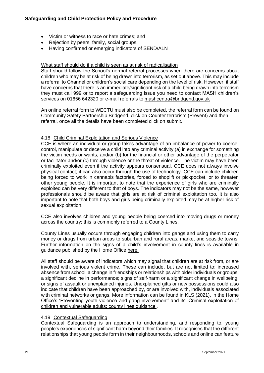- Victim or witness to race or hate crimes; and
- Rejection by peers, family, social groups.
- Having confirmed or emerging indicators of SEND/ALN

#### What staff should do if a child is seen as at risk of radicalisation

Staff should follow the School's normal referral processes when there are concerns about children who may be at risk of being drawn into terrorism, as set out above. This may include a referral to Channel or children's social care depending on the level of risk. However, if staff have concerns that there is an immediate/significant risk of a child being drawn into terrorism they must call 999 or to report a safeguarding issue you need to contact MASH children's services on 01656 642320 or e-mail referrals to [mashcentra@bridgend.gov.uk](mailto:mashcentra@bridgend.gov.uk)

An online referral form to WECTU must also be completed, the referral form can be found on Community Safety Partnership Bridgend, click on [Counter terrorism \(Prevent\)](https://protect-eu.mimecast.com/s/EfuUCzmRVCw1mgs4j9i5?domain=bridgend.gov.uk) and then referral, once all the details have been completed click on submit.

#### <span id="page-20-0"></span>4.18 Child Criminal Exploitation and Serious Violence

CCE is where an individual or group takes advantage of an imbalance of power to coerce, control, manipulate or deceive a child into any criminal activity (a) in exchange for something the victim needs or wants, and/or (b) for the financial or other advantage of the perpetrator or facilitator and/or (c) through violence or the threat of violence. The victim may have been criminally exploited even if the activity appears consensual. CCE does not always involve physical contact; it can also occur through the use of technology. CCE can include children being forced to work in cannabis factories, forced to shoplift or pickpocket, or to threaten other young people. It is important to note that the experience of girls who are criminally exploited can be very different to that of boys. The indicators may not be the same, however professionals should be aware that girls are at risk of criminal exploitation too. It is also important to note that both boys and girls being criminally exploited may be at higher risk of sexual exploitation.

CCE also involves children and young people being coerced into moving drugs or money across the country; this is commonly referred to a County Lines.

County Lines usually occurs through engaging children into gangs and using them to carry money or drugs from urban areas to suburban and rural areas, market and seaside towns. Further information on the signs of a child's involvement in county lines is available in guidance published by the Home Office [here.](https://www.gov.uk/government/publications/criminal-exploitation-of-children-and-vulnerable-adults-county-lines)

All staff should be aware of indicators which may signal that children are at risk from, or are involved with, serious violent crime. These can include, but are not limited to: increased absence from school; a change in friendships or relationships with older individuals or groups; a significant decline in performance; signs of self-harm or a significant change in wellbeing; or signs of assault or unexplained injuries. Unexplained gifts or new possessions could also indicate that children have been approached by, or are involved with, individuals associated with criminal networks or gangs. More information can be found in KLS (2021), in the Home Office's ['Preventing youth violence and gang involvement'](https://assets.publishing.service.gov.uk/government/uploads/system/uploads/attachment_data/file/418131/Preventing_youth_violence_and_gang_involvement_v3_March2015.pdf) and its ['Criminal exploitation of](https://assets.publishing.service.gov.uk/government/uploads/system/uploads/attachment_data/file/741194/HOCountyLinesGuidanceSept2018.pdf)  [children and vulnerable adults:](https://assets.publishing.service.gov.uk/government/uploads/system/uploads/attachment_data/file/741194/HOCountyLinesGuidanceSept2018.pdf) county lines guidance'.

#### <span id="page-20-1"></span>4.19 Contextual Safeguarding

Contextual Safeguarding is an approach to understanding, and responding to, young people's experiences of significant harm beyond their families. It recognises that the different relationships that young people form in their neighbourhoods, schools and online can feature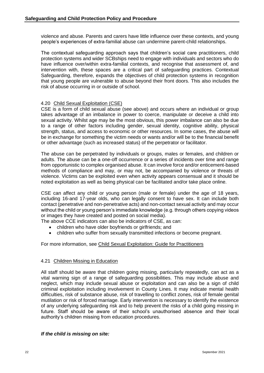violence and abuse. Parents and carers have little influence over these contexts, and young people's experiences of extra-familial abuse can undermine parent-child relationships.

The contextual safeguarding approach says that children's social care practitioners, child protection systems and wider SCBships need to engage with individuals and sectors who do have influence over/within extra-familial contexts, and recognise that assessment of, and intervention with, these spaces are a critical part of safeguarding practices. Contextual Safeguarding, therefore, expands the objectives of child protection systems in recognition that young people are vulnerable to abuse beyond their front doors. This also includes the risk of abuse occurring in or outside of school.

#### <span id="page-21-0"></span>4.20 Child Sexual Exploitation (CSE)

CSE is a form of child sexual abuse (see above) and occurs where an individual or group takes advantage of an imbalance in power to coerce, manipulate or deceive a child into sexual activity. Whilst age may be the most obvious, this power imbalance can also be due to a range of other factors including gender, sexual identity, cognitive ability, physical strength, status, and access to economic or other resources. In some cases, the abuse will be in exchange for something the victim needs or wants and/or will be to the financial benefit or other advantage (such as increased status) of the perpetrator or facilitator.

The abuse can be perpetrated by individuals or groups, males or females, and children or adults. The abuse can be a one-off occurrence or a series of incidents over time and range from opportunistic to complex organised abuse. It can involve force and/or enticement-based methods of compliance and may, or may not, be accompanied by violence or threats of violence. Victims can be exploited even when activity appears consensual and it should be noted exploitation as well as being physical can be facilitated and/or take place online.

CSE can affect any child or young person (male or female) under the age of 18 years, including 16-and 17-year olds, who can legally consent to have sex. It can include both contact (penetrative and non-penetrative acts) and non-contact sexual activity and may occur without the child or young person's immediate knowledge (e.g. through others copying videos or images they have created and posted on social media).

The above CCE indicators can also be indicators of CSE, as can:

- children who have older boyfriends or girlfriends; and
- children who suffer from sexually transmitted infections or become pregnant.

#### For more information, see [Child Sexual Exploitation: Guide for Practitioners](https://assets.publishing.service.gov.uk/government/uploads/system/uploads/attachment_data/file/591903/CSE_Guidance_Core_Document_13.02.2017.pdf)

#### <span id="page-21-1"></span>4.21 Children Missing in Education

All staff should be aware that children going missing, particularly repeatedly, can act as a vital warning sign of a range of safeguarding possibilities. This may include abuse and neglect, which may include sexual abuse or exploitation and can also be a sign of child criminal exploitation including involvement in County Lines. It may indicate mental health difficulties, risk of substance abuse, risk of travelling to conflict zones, risk of female genital mutilation or risk of forced marriage. Early intervention is necessary to identify the existence of any underlying safeguarding risk and to help prevent the risks of a child going missing in future. Staff should be aware of their school's unauthorised absence and their local authority's children missing from education procedures.

#### *If the child is missing on site:*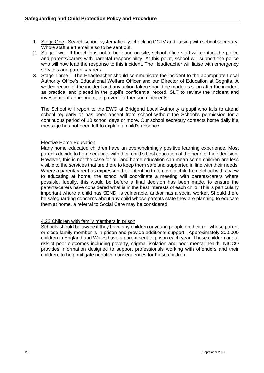- 1. Stage One Search school systematically, checking CCTV and liaising with school secretary. Whole staff alert email also to be sent out.
- 2. Stage Two If the child is not to be found on site, school office staff will contact the police and parents/carers with parental responsibility. At this point, school will support the police who will now lead the response to this incident. The Headteacher will liaise with emergency services and parents/carers.
- 3. Stage Three The Headteacher should communicate the incident to the appropriate Local Authority Office's Educational Welfare Officer and our Director of Education at Cognita. A written record of the incident and any action taken should be made as soon after the incident as practical and placed in the pupil's confidential record. SLT to review the incident and investigate, if appropriate, to prevent further such incidents.

The School will report to the EWO at Bridgend Local Authority a pupil who fails to attend school regularly or has been absent from school without the School's permission for a continuous period of 10 school days or more. Our school secretary contacts home daily if a message has not been left to explain a child's absence.

#### Elective Home Education

Many home educated children have an overwhelmingly positive learning experience. Most parents decide to home educate with their child's best education at the heart of their decision. However, this is not the case for all, and home education can mean some children are less visible to the services that are there to keep them safe and supported in line with their needs. Where a parent/carer has expressed their intention to remove a child from school with a view to educating at home, the school will coordinate a meeting with parents/carers where possible. Ideally, this would be before a final decision has been made, to ensure the parents/carers have considered what is in the best interests of each child. This is particularly important where a child has SEND, is vulnerable, and/or has a social worker. Should there be safeguarding concerns about any child whose parents state they are planning to educate them at home, a referral to Social Care may be considered.

#### <span id="page-22-0"></span>4.22 Children with family members in prison

Schools should be aware if they have any children or young people on their roll whose parent or close family member is in prison and provide additional support. Approximately 200,000 children in England and Wales have a parent sent to prison each year. These children are at risk of poor outcomes including poverty, stigma, isolation and poor mental health. [NICCO](https://www.nicco.org.uk/) provides information designed to support professionals working with offenders and their children, to help mitigate negative consequences for those children.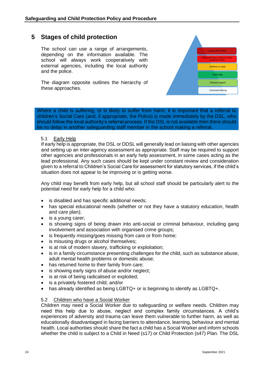## <span id="page-23-0"></span>**5 Stages of child protection**

The school can use a range of arrangements, depending on the information available. The school will always work cooperatively with external agencies, including the local authority and the police.

The diagram opposite outlines the hierarchy of these approaches.



Where a child is suffering, or is likely to suffer from harm, it is important that a referral to children's Social Care (and, if appropriate, the Police) is made immediately by the DSL, who should follow the local authority's referral process. If the DSL is not available then there should be no delay in another safeguarding staff member in the school making a referral.

<span id="page-23-1"></span>5.1 Early Help

If early help is appropriate, the DSL or DDSL will generally lead on liaising with other agencies and setting up an inter-agency assessment as appropriate. Staff may be required to support other agencies and professionals in an early help assessment, in some cases acting as the lead professional. Any such cases should be kept under constant review and consideration given to a referral to Children's Social Care for assessment for statutory services, if the child's situation does not appear to be improving or is getting worse.

Any child may benefit from early help, but all school staff should be particularly alert to the potential need for early help for a child who:

- is disabled and has specific additional needs;
- has special educational needs (whether or not they have a statutory education, health and care plan);
- is a young carer;
- is showing signs of being drawn into anti-social or criminal behaviour, including gang involvement and association with organised crime groups;
- is frequently missing/goes missing from care or from home:
- is misusing drugs or alcohol themselves;
- is at risk of modern slavery, trafficking or exploitation;
- is in a family circumstance presenting challenges for the child, such as substance abuse, adult mental health problems or domestic abuse;
- has returned home to their family from care;
- is showing early signs of abuse and/or neglect:
- is at risk of being radicalised or exploited;
- is a privately fostered child; and/or
- has already identified as being LGBTQ+ or is beginning to identify as LGBTQ+.

#### <span id="page-23-2"></span>5.2 Children who have a Social Worker

Children may need a Social Worker due to safeguarding or welfare needs. Children may need this help due to abuse, neglect and complex family circumstances. A child's experiences of adversity and trauma can leave them vulnerable to further harm, as well as educationally disadvantaged in facing barriers to attendance, learning, behaviour and mental health. Local authorities should share the fact a child has a Social Worker and inform schools whether the child is subject to a Child in Need (s17) or Child Protection (s47) Plan. The DSL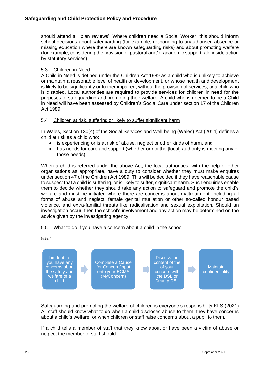should attend all 'plan reviews'. Where children need a Social Worker, this should inform school decisions about safeguarding (for example, responding to unauthorised absence or missing education where there are known safeguarding risks) and about promoting welfare (for example, considering the provision of pastoral and/or academic support, alongside action by statutory services).

#### <span id="page-24-0"></span>5.3 Children in Need

A Child in Need is defined under the Children Act 1989 as a child who is unlikely to achieve or maintain a reasonable level of health or development, or whose health and development is likely to be significantly or further impaired, without the provision of services; or a child who is disabled. Local authorities are required to provide services for children in need for the purposes of safeguarding and promoting their welfare. A child who is deemed to be a Child in Need will have been assessed by Children's Social Care under section 17 of the Children Act 1989.

#### <span id="page-24-1"></span>5.4 Children at risk, suffering or likely to suffer significant harm

In Wales, Section 130(4) of the Social Services and Well-being (Wales) Act (2014) defines a child at risk as a child who:

- is experiencing or is at risk of abuse, neglect or other kinds of harm, and
- has needs for care and support (whether or not the [local] authority is meeting any of those needs).

When a child is referred under the above Act, the local authorities, with the help of other organisations as appropriate, have a duty to consider whether they must make enquires under section 47 of the Children Act 1989. This will be decided if they have reasonable cause to suspect that a child is suffering, or is likely to suffer, significant harm. Such enquiries enable them to decide whether they should take any action to safeguard and promote the child's welfare and must be initiated where there are concerns about maltreatment, including all forms of abuse and neglect, female genital mutilation or other so-called honour based violence, and extra-familial threats like radicalisation and sexual exploitation. Should an investigation occur, then the school's involvement and any action may be determined on the advice given by the investigating agency.

#### 5.5 What to do if you have a concern about a child in the school

<span id="page-24-2"></span>

Safeguarding and promoting the welfare of children is everyone's responsibility KLS (2021) All staff should know what to do when a child discloses abuse to them, they have concerns about a child's welfare, or when children or staff raise concerns about a pupil to them.

If a child tells a member of staff that they know about or have been a victim of abuse or neglect the member of staff should: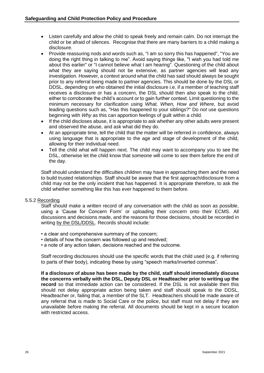- Listen carefully and allow the child to speak freely and remain calm. Do not interrupt the child or be afraid of silences. Recognise that there are many barriers to a child making a disclosure.
- Provide reassuring nods and words such as, "I am so sorry this has happened", "You are doing the right thing in talking to me". Avoid saying things like, "I wish you had told me about this earlier" or "I cannot believe what I am hearing". Questioning of the child about what they are saying should not be extensive, as partner agencies will lead any investigation. However, a context around what the child has said should always be sought prior to any referral being made to partner agencies. This should be done by the DSL or DDSL, depending on who obtained the initial disclosure i.e. if a member of teaching staff receives a disclosure or has a concern, the DSL should then also speak to the child, either to corroborate the child's account or to gain further context. Limit questioning to the minimum necessary for clarification using *What, When, How and Where,* but avoid leading questions such as, "Has this happened to your siblings?" Do *not* use questions beginning with *Why* as this can apportion feelings of guilt within a child.
- If the child discloses abuse, it is appropriate to ask whether any other adults were present and observed the abuse, and ask what did they do.
- At an appropriate time, tell the child that the matter will be referred in confidence, always using language that is appropriate to the age and stage of development of the child, allowing for their individual need.
- Tell the child what will happen next. The child may want to accompany you to see the DSL, otherwise let the child know that someone will come to see them before the end of the day.

Staff should understand the difficulties children may have in approaching them and the need to build trusted relationships. Staff should be aware that the first approach/disclosure from a child may not be the only incident that has happened. It is appropriate therefore, to ask the child whether something like this has ever happened to them before.

#### 5.5.2 Recording

Staff should make a written record of any conversation with the child as soon as possible, using a 'Cause for Concern Form' or uploading their concern onto their ECMS. All discussions and decisions made, and the reasons for those decisions, should be recorded in writing by the DSL/DDSL. Records should include:

- a clear and comprehensive summary of the concern;
- details of how the concern was followed up and resolved;
- a note of any action taken, decisions reached and the outcome.

Staff recording disclosures should use the specific words that the child used (e.g. if referring to parts of their body), indicating these by using "speech marks/inverted commas".

**If a disclosure of abuse has been made by the child, staff should immediately discuss the concerns verbally with the DSL, Deputy DSL or Headteacher prior to writing up the record** so that immediate action can be considered. If the DSL is not available then this should not delay appropriate action being taken and staff should speak to the DDSL, Headteacher or, failing that, a member of the SLT. Headteachers should be made aware of any referral that is made to Social Care or the police, but staff must not delay if they are unavailable before making the referral. All documents should be kept in a secure location with restricted access.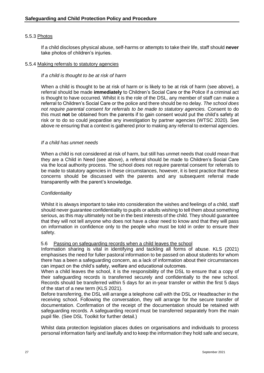#### 5.5.3 Photos

If a child discloses physical abuse, self-harms or attempts to take their life, staff should **never** take photos of children's injuries.

#### 5.5.4 Making referrals to statutory agencies

#### *If a child is thought to be at risk of harm*

When a child is thought to be at risk of harm or is likely to be at risk of harm (see above), a referral should be made **immediately** to Children's Social Care or the Police if a criminal act is thought to have occurred. Whilst it is the role of the DSL, any member of staff can make a referral to Children's Social Care or the police and there should be no delay. *The school does not require parental consent for referrals to be made to statutory agencies.* Consent to do this must **not** be obtained from the parents if to gain consent would put the child's safety at risk or to do so could jeopardise any investigation by partner agencies (WTSC 2020). See above re ensuring that a context is gathered prior to making any referral to external agencies.

#### *If a child has unmet needs*

When a child is not considered at risk of harm, but still has unmet needs that could mean that they are a Child in Need (see above), a referral should be made to Children's Social Care via the local authority process. The school does not require parental consent for referrals to be made to statutory agencies in these circumstances, however, it is best practice that these concerns should be discussed with the parents and any subsequent referral made transparently with the parent's knowledge.

#### *Confidentiality*

Whilst it is always important to take into consideration the wishes and feelings of a child, staff should never guarantee confidentiality to pupils or adults wishing to tell them about something serious, as this may ultimately not be in the best interests of the child. They should guarantee that they will not tell anyone who does not have a clear need to know and that they will pass on information in confidence only to the people who must be told in order to ensure their safety.

#### <span id="page-26-0"></span>5.6 Passing on safeguarding records when a child leaves the school

Information sharing is vital in identifying and tackling all forms of abuse. KLS (2021) emphasises the need for fuller pastoral information to be passed on about students for whom there has a been a safeguarding concern, as a lack of information about their circumstances can impact on the child's safety, welfare and educational outcomes.

When a child leaves the school, it is the responsibility of the DSL to ensure that a copy of their safeguarding records is transferred securely and confidentially to the new school. Records should be transferred within 5 days for an in-year transfer or within the first 5 days of the start of a new term (KLS 2021).

Before transferring, the DSL will arrange a telephone call with the DSL or Headteacher in the receiving school. Following the conversation, they will arrange for the secure transfer of documentation. Confirmation of the receipt of the documentation should be retained with safeguarding records. A safeguarding record must be transferred separately from the main pupil file. (See DSL Toolkit for further detail.)

Whilst data protection legislation places duties on organisations and individuals to process personal information fairly and lawfully and to keep the information they hold safe and secure,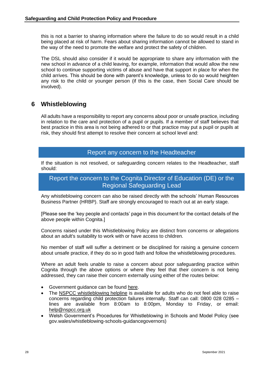this is not a barrier to sharing information where the failure to do so would result in a child being placed at risk of harm. Fears about sharing information cannot be allowed to stand in the way of the need to promote the welfare and protect the safety of children.

The DSL should also consider if it would be appropriate to share any information with the new school in advance of a child leaving, for example, information that would allow the new school to continue supporting victims of abuse and have that support in place for when the child arrives. This should be done with parent's knowledge, unless to do so would heighten any risk to the child or younger person (if this is the case, then Social Care should be involved).

## <span id="page-27-0"></span>**6 Whistleblowing**

All adults have a responsibility to report any concerns about poor or unsafe practice, including in relation to the care and protection of a pupil or pupils. If a member of staff believes that best practice in this area is not being adhered to or that practice may put a pupil or pupils at risk, they should first attempt to resolve their concern at school level and:

## Report any concern to the Headteacher

If the situation is not resolved, or safeguarding concern relates to the Headteacher, staff should:

## Report the concern to the Cognita Director of Education (DE) or the Regional Safeguarding Lead

Any whistleblowing concern can also be raised directly with the schools' Human Resources Business Partner (HRBP). Staff are strongly encouraged to reach out at an early stage.

[Please see the 'key people and contacts' page in this document for the contact details of the above people within Cognita.]

Concerns raised under this Whistleblowing Policy are distinct from concerns or allegations about an adult's suitability to work with or have access to children.

No member of staff will suffer a detriment or be disciplined for raising a genuine concern about unsafe practice, if they do so in good faith and follow the whistleblowing procedures.

Where an adult feels unable to raise a concern about poor safeguarding practice within Cognita through the above options or where they feel that their concern is not being addressed, they can raise their concern externally using either of the routes below:

- Government guidance can be found [here.](https://www.gov.uk/whistleblowing)
- The [NSPCC whistleblowing helpline](https://www.nspcc.org.uk/what-you-can-do/report-abuse/dedicated-helplines/whistleblowing-advice-line/) is available for adults who do not feel able to raise concerns regarding child protection failures internally. Staff can call: 0800 028 0285 – lines are available from 8:00am to 8:00pm, Monday to Friday, or email: [help@nspcc.org.uk](mailto:help@nspcc.org.uk)
- Welsh Government's Procedures for Whistleblowing in Schools and Model Policy (see gov.wales/whistleblowing-schools-guidancegovernors)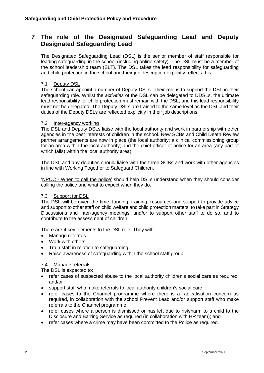## <span id="page-28-0"></span>**7 The role of the Designated Safeguarding Lead and Deputy Designated Safeguarding Lead**

The Designated Safeguarding Lead (DSL) is the senior member of staff responsible for leading safeguarding in the school (including online safety). The DSL must be a member of the school leadership team (SLT). The DSL takes the lead responsibility for safeguarding and child protection in the school and their job description explicitly reflects this.

#### <span id="page-28-1"></span>7.1 Deputy DSL

The school can appoint a number of Deputy DSLs. Their role is to support the DSL in their safeguarding role. Whilst the *activities* of the DSL can be delegated to DDSLs, the ultimate lead responsibility for child protection must remain with the DSL, and this lead responsibility must not be delegated. The Deputy DSLs are trained to the same level as the DSL and their duties of the Deputy DSLs are reflected explicitly in their job descriptions.

#### <span id="page-28-2"></span>7.2 Inter-agency working

The DSL and Deputy DSLs liaise with the local authority and work in partnership with other agencies in the best interests of children in the school. New SCBs and Child Death Review partner arrangements are now in place (the local authority; a clinical commissioning group for an area within the local authority; and the chief officer of police for an area (any part of which falls) within the local authority area).

The DSL and any deputies should liaise with the three SCBs and work with other agencies in line with Working Together to Safeguard Children.

'NPCC - [When to call the police'](https://www.npcc.police.uk/documents/Children%20and%20Young%20people/When%20to%20call%20the%20police%20guidance%20for%20schools%20and%20colleges.pdf) should help DSLs understand when they should consider calling the police and what to expect when they do.

#### <span id="page-28-3"></span>7.3 Support for DSL

The DSL will be given the time, funding, training, resources and support to provide advice and support to other staff on child welfare and child protection matters, to take part in Strategy Discussions and inter-agency meetings, and/or to support other staff to do so, and to contribute to the assessment of children.

There are 4 key elements to the DSL role. They will:

- Manage referrals
- Work with others
- Train staff in relation to safeguarding
- Raise awareness of safeguarding within the school staff group

#### <span id="page-28-4"></span>7.4 Manage referrals

The DSL is expected to:

- refer cases of suspected abuse to the local authority children's social care as required; and/or
- support staff who make referrals to local authority children's social care
- refer cases to the Channel programme where there is a radicalisation concern as required, in collaboration with the school Prevent Lead and/or support staff who make referrals to the Channel programme;
- refer cases where a person is dismissed or has left due to risk/harm to a child to the Disclosure and Barring Service as required (in collaboration with HR team); and
- refer cases where a crime may have been committed to the Police as required.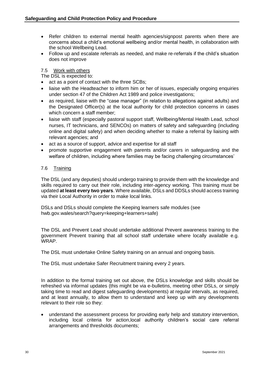- Refer children to external mental health agencies/signpost parents when there are concerns about a child's emotional wellbeing and/or mental health, in collaboration with the school Wellbeing Lead.
- Follow up and escalate referrals as needed, and make re-referrals if the child's situation does not improve

#### <span id="page-29-0"></span>7.5 Work with others

The DSL is expected to:

- act as a point of contact with the three SCBs;
- liaise with the Headteacher to inform him or her of issues, especially ongoing enquiries under section 47 of the Children Act 1989 and police investigations;
- as required, liaise with the "case manager" (in relation to allegations against adults) and the Designated Officer(s) at the local authority for child protection concerns in cases which concern a staff member;
- liaise with staff (especially pastoral support staff, Wellbeing/Mental Health Lead, school nurses, IT technicians, and SENCOs) on matters of safety and safeguarding (including online and digital safety) and when deciding whether to make a referral by liaising with relevant agencies; and
- act as a source of support, advice and expertise for all staff
- promote supportive engagement with parents and/or carers in safeguarding and the welfare of children, including where families may be facing challenging circumstances'

#### <span id="page-29-1"></span>7.6 Training

The DSL (and any deputies) should undergo training to provide them with the knowledge and skills required to carry out their role, including inter-agency working. This training must be updated **at least every two years**. Where available, DSLs and DDSLs should access training via their Local Authority in order to make local links.

DSLs and DSLs should complete the Keeping learners safe modules (see hwb.gov.wales/search?query=keeping+learners+safe)

The DSL and Prevent Lead should undertake additional Prevent awareness training to the government Prevent training that all school staff undertake where locally available e.g. WRAP.

The DSL must undertake Online Safety training on an annual and ongoing basis.

The DSL must undertake Safer Recruitment training every 2 years.

In addition to the formal training set out above, the DSLs knowledge and skills should be refreshed via informal updates (this might be via e-bulletins, meeting other DSLs, or simply taking time to read and digest safeguarding developments) at regular intervals, as required, and at least annually, to allow them to understand and keep up with any developments relevant to their role so they:

• understand the assessment process for providing early help and statutory intervention, including local criteria for action,local authority children's social care referral arrangements and thresholds documents;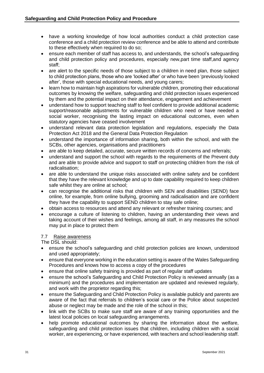- have a working knowledge of how local authorities conduct a child protection case conference and a child protection review conference and be able to attend and contribute to these effectively when required to do so;
- ensure each member of staff has access to, and understands, the school's safeguarding and child protection policy and procedures, especially new,part time staff,and agency staff;
- are alert to the specific needs of those subject to a children in need plan, those subject to child protection plans, those who are 'looked after' or who have been 'previously looked after', those with special educational needs, and young carers;
- learn how to maintain high aspirations for vulnerable children, promoting their educational outcomes by knowing the welfare, safeguarding and child protection issues experienced by them and the potential impact on their attendance, engagement and achievement
- understand how to support teaching staff to feel confident to provide additional academic support/reasonable adjustments for vulnerable children who need or have needed a social worker, recognising the lasting impact on educational outcomes, even when statutory agencies have ceased involvement
- understand relevant data protection legislation and regulations, especially the Data Protection Act 2018 and the General Data Protection Regulation
- understand the importance of information sharing, both within the school, and with the SCBs, other agencies, organisations and practitioners
- are able to keep detailed, accurate, secure written records of concerns and referrals;
- understand and support the school with regards to the requirements of the Prevent duty and are able to provide advice and support to staff on protecting children from the risk of radicalisation;
- are able to understand the unique risks associated with online safety and be confident that they have the relevant knowledge and up to date capability required to keep children safe whilst they are online at school;
- can recognise the additional risks that children with SEN and disabilities (SEND) face online, for example, from online bullying, grooming and radicalisation and are confident they have the capability to support SEND children to stay safe online;
- obtain access to resources and attend any relevant or refresher training courses; and
- encourage a culture of listening to children, having an understanding their views and taking account of their wishes and feelings, among all staff, in any measures the school may put in place to protect them

#### <span id="page-30-0"></span>7.7 Raise awareness

The DSL should:

- ensure the school's safeguarding and child protection policies are known, understood and used appropriately;
- ensure that everyone working in the education setting is aware of the Wales Safeguarding Procedures and knows how to access a copy of the procedures
- ensure that online safety training is provided as part of regular staff updates
- ensure the school's Safeguarding and Child Protection Policy is reviewed annually (as a minimum) and the procedures and implementation are updated and reviewed regularly, and work with the proprietor regarding this;
- ensure the Safeguarding and Child Protection Policy is available publicly and parents are aware of the fact that referrals to children's social care or the Police about suspected abuse or neglect may be made and the role of the school in this;
- link with the SCBs to make sure staff are aware of any training opportunities and the latest local policies on local safeguarding arrangements.
- help promote educational outcomes by sharing the information about the welfare. safeguarding and child protection issues that children, including children with a social worker, are experiencing, or have experienced, with teachers and school leadership staff.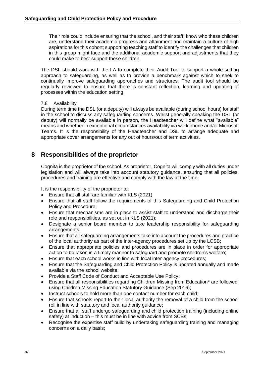Their role could include ensuring that the school, and their staff, know who these children are, understand their academic progress and attainment and maintain a culture of high aspirations for this cohort; supporting teaching staff to identify the challenges that children in this group might face and the additional academic support and adjustments that they could make to best support these children.

The DSL should work with the LA to complete their Audit Tool to support a whole-setting approach to safeguarding, as well as to provide a benchmark against which to seek to continually improve safeguarding approaches and structures. The audit tool should be regularly reviewed to ensure that there is constant reflection, learning and updating of processes within the education setting.

#### <span id="page-31-0"></span>7.8 Availability

During term time the DSL (or a deputy) will always be available (during school hours) for staff in the school to discuss any safeguarding concerns. Whilst generally speaking the DSL (or deputy) will normally be available in person, the Headteacher will define what "available" means and whether in exceptional circumstances availability via work phone and/or Microsoft Teams. It is the responsibility of the Headteacher and DSL to arrange adequate and appropriate cover arrangements for any out of hours/out of term activities.

## <span id="page-31-1"></span>**8 Responsibilities of the proprietor**

Cognita is the proprietor of the school. As proprietor, Cognita will comply with all duties under legislation and will always take into account statutory guidance, ensuring that all policies, procedures and training are effective and comply with the law at the time.

It is the responsibility of the proprietor to:

- Ensure that all staff are familiar with KLS (2021)
- Ensure that all staff follow the requirements of this Safeguarding and Child Protection Policy and Procedure;
- Ensure that mechanisms are in place to assist staff to understand and discharge their role and responsibilities, as set out in KLS (2021);
- Designate a senior board member to take leadership responsibility for safeguarding arrangements;
- Ensure that all safeguarding arrangements take into account the procedures and practice of the local authority as part of the inter-agency procedures set up by the LCSB;
- Ensure that appropriate policies and procedures are in place in order for appropriate action to be taken in a timely manner to safeguard and promote children's welfare;
- Ensure that each school works in line with local inter-agency procedures;
- Ensure that the Safeguarding and Child Protection Policy is updated annually and made available via the school website;
- Provide a Staff Code of Conduct and Acceptable Use Policy;
- Ensure that all responsibilities regarding Children Missing from Education\* are followed, using Children Missing Education Statutory [Guidance](https://assets.publishing.service.gov.uk/government/uploads/system/uploads/attachment_data/file/550416/Children_Missing_Education_-_statutory_guidance.pdf) (Sep 2016);
- Instruct schools to hold more than one contact number for each child;
- Ensure that schools report to their local authority the removal of a child from the school roll in line with statutory and local authority guidance;
- Ensure that all staff undergo safeguarding and child protection training (including online safety) at induction – this must be in line with advice from SCBs;
- Recognise the expertise staff build by undertaking safeguarding training and managing concerns on a daily basis;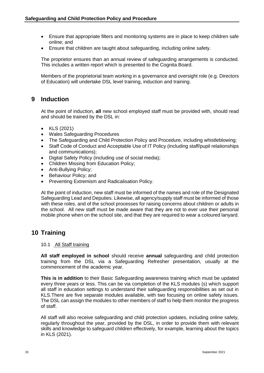- Ensure that appropriate filters and monitoring systems are in place to keep children safe online; and
- Ensure that children are taught about safeguarding, including online safety.

The proprietor ensures than an annual review of safeguarding arrangements is conducted. This includes a written report which is presented to the Cognita Board.

Members of the proprietorial team working in a governance and oversight role (e.g. Directors of Education) will undertake DSL level training, induction and training.

## <span id="page-32-0"></span>**9 Induction**

At the point of induction, **all** new school employed staff must be provided with, should read and should be trained by the DSL in:

- KLS (2021)
- Wales Safeguarding Procedures
- The Safeguarding and Child Protection Policy and Procedure, including whistleblowing;
- Staff Code of Conduct and Acceptable Use of IT Policy (including staff/pupil relationships and communications);
- Digital Safety Policy (including use of social media);
- Children Missing from Education Policy;
- Anti-Bullying Policy;
- Behaviour Policy; and
- Preventing Extremism and Radicalisation Policy.

At the point of induction, new staff must be informed of the names and role of the Designated Safeguarding Lead and Deputies. Likewise, all agency/supply staff must be informed of those with these roles, and of the school processes for raising concerns about children or adults in the school. All new staff must be made aware that they are not to ever use their personal mobile phone when on the school site, and that they are required to wear a coloured lanyard.

## **10 Training**

#### 10.1 All Staff training

**All staff employed in school** should receive **annual** safeguarding and child protection training from the DSL via a Safeguarding Refresher presentation, usually at the commencement of the academic year.

**This is in addition** to their Basic Safeguarding awareness training which must be updated every three years or less. This can be via completion of the KLS modules (s) which support all staff in education settings to understand their safeguarding responsibilities as set out in KLS.There are five separate modules available, with two focusing on online safety issues. The DSL can assign the modules to other members of staff to help them monitor the progress of staff.

All staff will also receive safeguarding and child protection updates, including online safety, regularly throughout the year, provided by the DSL, in order to provide them with relevant skills and knowledge to safeguard children effectively, for example, learning about the topics in KLS (2021).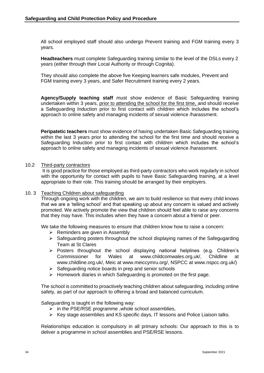All school employed staff should also undergo Prevent training and FGM training every 3 years.

**Headteachers** must complete Safeguarding training similar to the level of the DSLs every 2 years (either through their Local Authority or through Cognita).

They should also complete the above five Keeping learners safe modules, Prevent and FGM training every 3 years, and Safer Recruitment training every 2 years.

**Agency/Supply teaching staff** must show evidence of Basic Safeguarding training undertaken within 3 years, prior to attending the school for the first time, and should receive a Safeguarding Induction prior to first contact with children which includes the school's approach to online safety and managing incidents of sexual violence /harassment.

**Peripatetic teachers** must show evidence of having undertaken Basic Safeguarding training within the last 3 years prior to attending the school for the first time and should receive a Safeguarding Induction prior to first contact with children which includes the school's approach to online safety and managing incidents of sexual violence /harassment.

#### <span id="page-33-0"></span>10.2 Third-party contractors

It is good practice for those employed as third-party contractors who work regularly in school with the opportunity for contact with pupils to have Basic Safeguarding training, at a level appropriate to their role. This training should be arranged by their employers.

#### <span id="page-33-1"></span>10. 3 Teaching Children about safeguarding

Through ongoing work with the children, we aim to build resilience so that every child knows that we are a 'telling school' and that speaking up about any concern is valued and actively promoted. We actively promote the view that children should feel able to raise any concerns that they may have. This includes when they have a concern about a friend or peer.

We take the following measures to ensure that children know how to raise a concern:

- $\triangleright$  Reminders are given in Assembly
- $\triangleright$  Safeguarding posters throughout the school displaying names of the Safegugarding Team at St Clares
- $\triangleright$  Posters throughout the school displaying national helplines (e.g. Children's Commissioner for Wales at www.childcomwales.org.uk/, Childline at www.childline.org.uk/, Meic at www.meiccymru.org/, NSPCC at www.nspcc.org.uk/)
- ➢ Safeguarding notice boards in prep and senior schools
- ➢ Homework diaries in which Safeguarding is promoted on the first page.

The school is committed to proactively teaching children about safeguarding, including online safety, as part of our approach to offering a broad and balanced curriculum.

Safeguarding is taught in the following way:

- $\triangleright$  in the PSE/RSE programme , whole school assemblies,
- $\triangleright$  Key stage assemblies and KS specific days, IT lessons and Police Liaison talks.

Relationships education is compulsory in all primary schools: Our approach to this is to deliver a programme in school assemblies and PSE/RSE lessons.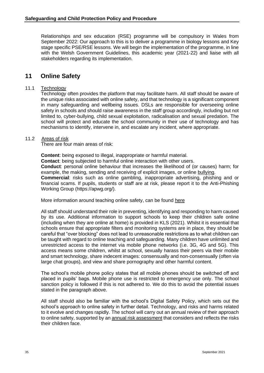Relationships and sex education (RSE) programme will be compulsory in Wales from September 2022: Our approach to this is to deliver a programme in biology lessons and Key stage specific PSE/RSE lessons. We will begin the implementation of the programme, in line with the Welsh Government Guidelines, this academic year (2021-22) and liaise with all stakeholders regarding its implementation.

## <span id="page-34-0"></span>**11 Online Safety**

#### 11.1 Technology

Technology often provides the platform that may facilitate harm. All staff should be aware of the unique risks associated with online safety, and that technology is a significant component in many safeguarding and wellbeing issues. DSLs are responsible for overseeing online safety in schools and should raise awareness in the staff group accordingly, including but not limited to, cyber-bullying, child sexual exploitation, radicalisation and sexual predation. The school will protect and educate the school community in their use of technology and has mechanisms to identify, intervene in, and escalate any incident, where appropriate.

#### 11.2 Areas of risk

There are four main areas of risk:

**Content**: being exposed to illegal, inappropriate or harmful material. **Contact**: being subjected to harmful online interaction with other users. **Conduct**: personal online behaviour that increases the likelihood of (or causes) harm; for example, the making, sending and receiving of explicit images, or online bullying. **Commercial**: risks such as online gambling, inappropriate advertising, phishing and or financial scams. If pupils, students or staff are at risk, please report it to the Anti-Phishing Working Group (https://apwg.org/).

More information around teaching online safety, can be found [here](https://www.gov.uk/government/publications/teaching-online-safety-in-schools)

All staff should understand their role in preventing, identifying and responding to harm caused by its use. Additional information to support schools to keep their children safe online (including when they are online at home) is provided in KLS (2021). Whilst it is essential that schools ensure that appropriate filters and monitoring systems are in place, they should be careful that "over blocking" does not lead to unreasonable restrictions as to what children can be taught with regard to online teaching and safeguarding. Many children have unlimited and unrestricted access to the internet via mobile phone networks (i.e. 3G, 4G and 5G). This access means some children, whilst at school, sexually harass their peers via their mobile and smart technology, share indecent images: consensually and non-consensually (often via large chat groups), and view and share pornography and other harmful content.

The school's mobile phone policy states that all mobile phones should be switched off and placed in pupils' bags. Mobile phone use is restricted to emergency use only. The school sanction policy is followed if this is not adhered to. We do this to avoid the potential issues stated in the paragraph above.

<span id="page-34-1"></span>All staff should also be familiar with the school's Digital Safety Policy, which sets out the school's approach to online safety in further detail. Technology, and risks and harms related to it evolve and changes rapidly. The school will carry out an annual review of their approach to online safety, supported by an [annual risk assessment](https://360safe.org.uk/) that considers and reflects the risks their children face.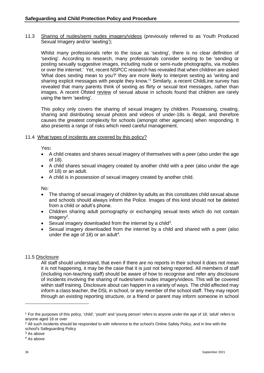11.3 Sharing of nudes/semi nudes imagery/videos (previously referred to as Youth Produced Sexual Imagery and/or 'sexting');

Whilst many professionals refer to the issue as 'sexting', there is no clear definition of 'sexting'. According to research, many professionals consider sexting to be 'sending or posting sexually suggestive images, including nude or semi-nude photographs, via mobiles or over the internet.' Yet, recent NSPCC research has revealed that when children are asked 'What does sexting mean to you?' they are more likely to interpret sexting as 'writing and sharing explicit messages with people they know.'<sup>1</sup> Similarly, a recent ChildLine survey has revealed that many parents think of sexting as flirty or sexual text messages, rather than images. A recent Ofsted [review](https://www.gov.uk/government/publications/review-of-sexual-abuse-in-schools-and-colleges/review-of-sexual-abuse-in-schools-and-colleges) of sexual abuse in schools found that children are rarely using the term 'sexting'.

This policy only covers the sharing of sexual imagery by children. Possessing, creating, sharing and distributing sexual photos and videos of under-18s is illegal, and therefore causes the greatest complexity for schools (amongst other agencies) when responding. It also presents a range of risks which need careful management.

#### <span id="page-35-0"></span>11.4 What types of incidents are covered by this policy?

Yes**:**

- A child creates and shares sexual imagery of themselves with a peer (also under the age of 18).
- A child shares sexual imagery created by another child with a peer (also under the age of 18) or an adult.
- A child is in possession of sexual imagery created by another child.

No:

- The sharing of sexual imagery of children by adults as this constitutes child sexual abuse and schools should always inform the Police. Images of this kind should not be deleted from a child or adult's phone.
- Children sharing adult pornography or exchanging sexual texts which do not contain imagery<sup>2</sup>.
- Sexual imagery downloaded from the internet by a child<sup>3</sup>.
- Sexual imagery downloaded from the internet by a child and shared with a peer (also under the age of 18) or an adult<sup>4</sup>.

#### 11.5 Disclosure

All staff should understand, that even if there are no reports in their school it does not mean it is not happening, it may be the case that it is just not being reported. All members of staff (including non-teaching staff) should be aware of how to recognise and refer any disclosure of incidents involving the sharing of nudes/semi nudes imagery/videos. This will be covered within staff training. Disclosure about can happen in a variety of ways. The child affected may inform a class teacher, the DSL in school, or any member of the school staff. They may report through an existing reporting structure, or a friend or parent may inform someone in school

<sup>1</sup> For the purposes of this policy, 'child', 'youth' and 'young person' refers to anyone under the age of 18; 'adult' refers to anyone aged 18 or over

<sup>&</sup>lt;sup>2</sup> All such incidents should be responded to with reference to the school's Online Safety Policy, and in line with the school's Safeguarding Policy

<sup>3</sup> As above

<sup>4</sup> As above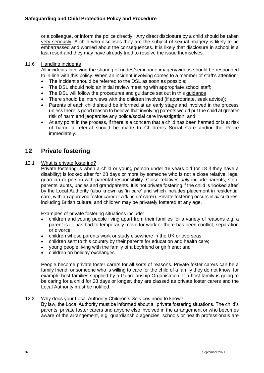or a colleague, or inform the police directly. Any direct disclosure by a child should be taken very seriously. A child who discloses they are the subject of sexual imagery is likely to be embarrassed and worried about the consequences. It is likely that disclosure in school is a last resort and they may have already tried to resolve the issue themselves.

#### <span id="page-36-0"></span>11.6 Handling incidents

All incidents involving the sharing of nudes/semi nude imagery/videos should be responded to in line with this policy. When an incident involving comes to a member of staff's attention:

- The incident should be referred to the DSL as soon as possible;
- The DSL should hold an initial review meeting with appropriate school staff;
- The DSL will follow the procedures and [guidance](https://www.gov.uk/government/publications/sharing-nudes-and-semi-nudes-advice-for-education-settings-working-with-children-and-young-people/sharing-nudes-and-semi-nudes-advice-for-education-settings-working-with-children-and-young-people) set out in this guidance
- There should be interviews with the children involved (if appropriate, seek advice);
- Parents of each child should be informed at an early stage and involved in the process unless there is good reason to believe that involving parents would put the child at greater risk of harm and jeopardise any police/social care investigation; and
- At any point in the process, if there is a concern that a child has been harmed or is at risk of harm, a referral should be made to Children's Social Care and/or the Police immediately.

## <span id="page-36-1"></span>**12 Private fostering**

#### <span id="page-36-2"></span>12.1 What is private fostering?

Private fostering is when a child or young person under 16 years old (or 18 if they have a disability) is looked after for 28 days or more by someone who is not a close relative, legal guardian or person with parental responsibility. Close relatives *only* include parents, stepparents, aunts, uncles and grandparents. It is not private fostering if the child is 'looked after' by the Local Authority (also known as 'in care' and which includes placement in residential care, with an approved foster carer or a 'kinship' carer). Private fostering occurs in *all* cultures, including British culture, and children may be privately fostered at any age.

Examples of private fostering situations include:

- children and young people living apart from their families for a variety of reasons e.g. a parent is ill, has had to temporarily move for work or there has been conflict, separation or divorce;
- children whose parents work or study elsewhere in the UK or overseas;
- children sent to this country by their parents for education and health care;
- young people living with the family of a boyfriend or girlfriend; and
- children on holiday exchanges.

People become private foster carers for all sorts of reasons. Private foster carers can be a family friend, or someone who is willing to care for the child of a family they do not know, for example host families supplied by a Guardianship Organisation. If a host family is going to be caring for a child for 28 days or longer, they are classed as private foster carers and the Local Authority must be notified.

#### <span id="page-36-3"></span>12.2 Why does your Local Authority Children's Services need to know?

By law, the Local Authority must be informed about all private fostering situations. The child's parents, private foster carers and anyone else involved in the arrangement or who becomes aware of the arrangement, e.g. guardianship agencies, schools or health professionals are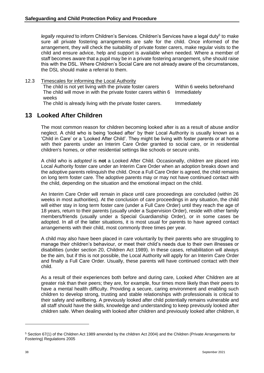legally required to inform Children's Services. Children's Services have a legal duty<sup>5</sup> to make sure all private fostering arrangements are safe for the child. Once informed of the arrangement, they will check the suitability of private foster carers, make regular visits to the child and ensure advice, help and support is available when needed. Where a member of staff becomes aware that a pupil may be in a private fostering arrangement, s/he should raise this with the DSL. Where Children's Social Care are not already aware of the circumstances, the DSL should make a referral to them.

<span id="page-37-0"></span>12.3 Timescales for informing the Local Authority

The child is not yet living with the private foster carers Within 6 weeks beforehand The child will move in with the private foster carers within 6 weeks Immediately The child is already living with the private foster carers. Immediately

## <span id="page-37-1"></span>**13 Looked After Children**

The most common reason for children becoming looked after is as a result of abuse and/or neglect. A child who is being 'looked after' by their Local Authority is usually known as a 'Child in Care' or a 'Looked After Child'. They might be living with foster parents or at home with their parents under an Interim Care Order granted to social care, or in residential children's homes, or other residential settings like schools or secure units.

A child who is *adopted* is **not** a Looked After Child. Occasionally, children are placed into Local Authority foster care under an Interim Care Order when an adoption breaks down and the adoptive parents relinquish the child. Once a Full Care Order is agreed, the child remains on long term foster care. The adoptive parents may or may not have continued contact with the child, depending on the situation and the emotional impact on the child.

An Interim Care Order will remain in place until care proceedings are concluded (within 26 weeks in most authorities). At the conclusion of care proceedings in any situation, the child will either stay in long term foster care (under a Full Care Order) until they reach the age of 18 years, return to their parents (usually under a Supervision Order), reside with other family members/friends (usually under a Special Guardianship Order), or in some cases be adopted. In all of the latter situations, it is most usual for parents to have agreed contact arrangements with their child, most commonly three times per year.

A child may also have been placed in care voluntarily by their parents who are struggling to manage their children's behaviour, or meet their child's needs due to their own illnesses or disabilities (under section 20, Children Act 1989). In these cases, rehabilitation will always be the aim, but if this is not possible, the Local Authority will apply for an Interim Care Order and finally a Full Care Order. Usually, these parents will have continued contact with their child.

As a result of their experiences both before and during care, Looked After Children are at greater risk than their peers; they are, for example, four times more likely than their peers to have a mental health difficulty. Providing a secure, caring environment and enabling such children to develop strong, trusting and stable relationships with professionals is critical to their safety and wellbeing. A previously looked after child potentially remains vulnerable and all staff should have the skills, knowledge and understanding to keep previously looked after children safe. When dealing with looked after children and previously looked after children, it

<sup>5</sup> Section 67(1) of the Children Act 1989 amended by the children Act 2004) and the Children (Private Arrangements for Fostering) Regulations 2005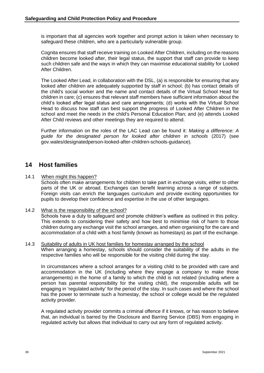is important that all agencies work together and prompt action is taken when necessary to safeguard these children, who are a particularly vulnerable group.

Cognita ensures that staff receive training on Looked After Children, including on the reasons children become looked after, their legal status, the support that staff can provide to keep such children safe and the ways in which they can maximise educational stability for Looked After Children.

The Looked After Lead, in collaboration with the DSL, (a) is responsible for ensuring that any looked after children are adequately supported by staff in school; (b) has contact details of the child's social worker and the name and contact details of the Virtual School Head for children in care; (c) ensures that relevant staff members have sufficient information about the child's looked after legal status and care arrangements; (d) works with the Virtual School Head to discuss how staff can best support the progress of Looked After Children in the school and meet the needs in the child's Personal Education Plan; and (e) attends Looked After Child reviews and other meetings they are required to attend.

Further information on the roles of the LAC Lead can be found it: *Making a difference: A guide for the designated person for looked after children in schools* (2017) (see gov.wales/designatedperson-looked-after-children-schools-guidance).

## <span id="page-38-0"></span>**14 Host families**

#### <span id="page-38-1"></span>14.1 When might this happen?

Schools often make arrangements for children to take part in exchange visits, either to other parts of the UK or abroad. Exchanges can benefit learning across a range of subjects. Foreign visits can enrich the languages curriculum and provide exciting opportunities for pupils to develop their confidence and expertise in the use of other languages.

#### <span id="page-38-2"></span>14.2 What is the responsibility of the school?

Schools have a duty to safeguard and promote children's welfare as outlined in this policy. This extends to considering their safety and how best to minimise risk of harm to those children during any exchange visit the school arranges, and when organising for the care and accommodation of a child with a host family (known as homestays) as part of the exchange.

#### <span id="page-38-3"></span>14.3 Suitability of adults in UK host families for homestay arranged by the school When arranging a homestay, schools should consider the suitability of the adults in the respective families who will be responsible for the visiting child during the stay.

In circumstances where a school arranges for a visiting child to be provided with care and accommodation in the UK (including where they engage a company to make those arrangements) in the home of a family to which the child is not related (including where a person has parental responsibility for the visiting child), the responsible adults will be engaging in 'regulated activity' for the period of the stay. In such cases and where the school has the power to terminate such a homestay, the school or college would be the regulated activity provider.

A regulated activity provider commits a criminal offence if it knows, or has reason to believe that, an individual is barred by the Disclosure and Barring Service (DBS) from engaging in regulated activity but allows that individual to carry out any form of regulated activity.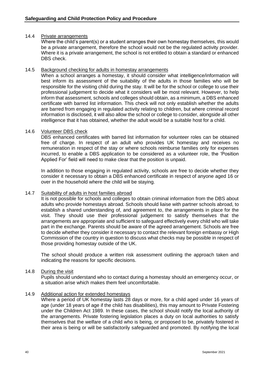#### <span id="page-39-0"></span>14.4 Private arrangements

Where the child's parent(s) or a student arranges their own homestay themselves, this would be a private arrangement, therefore the school would not be the regulated activity provider. Where it is a private arrangement, the school is not entitled to obtain a standard or enhanced DBS check.

#### <span id="page-39-1"></span>14.5 Background checking for adults in homestay arrangements

When a school arranges a homestay, it should consider what intelligence/information will best inform its assessment of the suitability of the adults in those families who will be responsible for the visiting child during the stay. It will be for the school or college to use their professional judgement to decide what it considers will be most relevant. However, to help inform that assessment, schools and colleges should obtain, as a minimum, a DBS enhanced certificate with barred list information. This check will not only establish whether the adults are barred from engaging in regulated activity relating to children, but where criminal record information is disclosed, it will also allow the school or college to consider, alongside all other intelligence that it has obtained, whether the adult would be a suitable host for a child.

#### <span id="page-39-2"></span>14.6 Volunteer DBS check

DBS enhanced certificates with barred list information for volunteer roles can be obtained free of charge. In respect of an adult who provides UK homestay and receives no remuneration in respect of the stay or where schools reimburse families only for expenses incurred, to enable a DBS application to be considered as a volunteer role, the 'Position Applied For' field will need to make clear that the position is unpaid.

In addition to those engaging in regulated activity, schools are free to decide whether they consider it necessary to obtain a DBS enhanced certificate in respect of anyone aged 16 or over in the household where the child will be staying.

#### <span id="page-39-3"></span>14.7 Suitability of adults in host families abroad

It is not possible for schools and colleges to obtain criminal information from the DBS about adults who provide homestays abroad. Schools should liaise with partner schools abroad, to establish a shared understanding of, and agreement to, the arrangements in place for the visit. They should use their professional judgement to satisfy themselves that the arrangements are appropriate and sufficient to safeguard effectively every child who will take part in the exchange. Parents should be aware of the agreed arrangement. Schools are free to decide whether they consider it necessary to contact the relevant foreign embassy or High Commission of the country in question to discuss what checks may be possible in respect of those providing homestay outside of the UK.

The school should produce a written risk assessment outlining the approach taken and indicating the reasons for specific decisions.

#### <span id="page-39-4"></span>14.8 During the visit

Pupils should understand who to contact during a homestay should an emergency occur, or a situation arise which makes them feel uncomfortable.

#### <span id="page-39-5"></span>14.9 Additional action for extended homestays

Where a period of UK homestay lasts 28 days or more, for a child aged under 16 years of age (under 18 years of age if the child has disabilities), this may amount to Private Fostering under the Children Act 1989. In these cases, the school should notify the local authority of the arrangements. Private fostering legislation places a duty on local authorities to satisfy themselves that the welfare of a child who is being, or proposed to be, privately fostered in their area is being or will be satisfactorily safeguarded and promoted. By notifying the local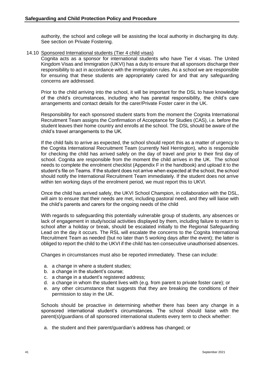authority, the school and college will be assisting the local authority in discharging its duty. See section on Private Fostering.

#### <span id="page-40-0"></span>14.10 Sponsored International students (Tier 4 child visas)

Cognita acts as a sponsor for international students who have Tier 4 visas. The United Kingdom Visas and Immigration (UKVI) has a duty to ensure that all sponsors discharge their responsibility to act in accordance with the immigration rules. As a school we are responsible for ensuring that these students are appropriately cared for and that any safeguarding concerns are addressed.

Prior to the child arriving into the school, it will be important for the DSL to have knowledge of the child's circumstances, including who has parental responsibility, the child's care arrangements and contact details for the carer/Private Foster carer in the UK.

Responsibility for each sponsored student starts from the moment the Cognita International Recruitment Team assigns the Confirmation of Acceptance for Studies (CAS), i.e. before the student leaves their home country and enrolls at the school. The DSL should be aware of the child's travel arrangements to the UK.

If the child fails to arrive as expected, the school should report this as a matter of urgency to the Cognita International Recruitment Team (currently Neil Herrington), who is responsible for checking the child has arrived safely on the day of travel and prior to their first day of school. Cognita are responsible from the moment the child arrives in the UK. The school needs to complete the enrolment checklist (Appendix F in the handbook) and upload it to the student's file on Teams. If the student does not arrive when expected at the school, the school should notify the International Recruitment Team immediately. If the student does not arrive within ten working days of the enrolment period, we must report this to UKVI.

Once the child has arrived safely, the UKVI School Champion, in collaboration with the DSL, will aim to ensure that their needs are met, including pastoral need, and they will liaise with the child's parents and carers for the ongoing needs of the child

With regards to safeguarding this potentially vulnerable group of students, any absences or lack of engagement in study/social activities displayed by them, including failure to return to school after a holiday or break, should be escalated initially to the Regional Safeguarding Lead on the day it occurs. The RSL will escalate the concerns to the Cognita International Recruitment Team as needed (but no later than 5 working days after the event); the latter is obliged to report the child to the UKVI if the child has ten consecutive unauthorised absences.

Changes in circumstances must also be reported immediately. These can include:

- a. a change in where a student studies;
- b. a change in the student's course;
- c. a change in a student's registered address;
- d. a change in whom the student lives with (e.g. from parent to private foster care); or
- e. any other circumstance that suggests that they are breaking the conditions of their permission to stay in the UK.

Schools should be proactive in determining whether there has been any change in a sponsored international student's circumstances. The school should liaise with the parent(s)/guardians of all sponsored international students every term to check whether:

a. the student and their parent/guardian's address has changed; or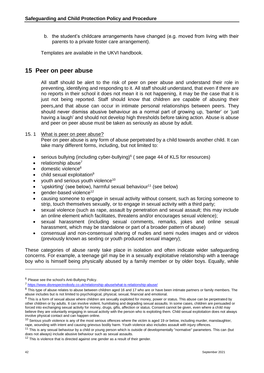b. the student's childcare arrangements have changed (e.g. moved from living with their parents to a private foster care arrangement).

Templates are available in the UKVI handbook.

#### <span id="page-41-0"></span>**15 Peer on peer abuse**

All staff should be alert to the risk of peer on peer abuse and understand their role in preventing, identifying and responding to it. All staff should understand, that even if there are no reports in their school it does not mean it is not happening, it may be the case that it is just not being reported. Staff should know that children are capable of abusing their peers,and that abuse can occur in intimate personal relationships between peers. They should never dismiss abusive behaviour as a normal part of growing up, 'banter' or 'just having a laugh' and should not develop high thresholds before taking action. Abuse is abuse and peer on peer abuse must be taken as seriously as abuse by adult.

#### 15. 1 What is peer on peer abuse?

<span id="page-41-1"></span>Peer on peer abuse is any form of abuse perpetrated by a child towards another child. It can take many different forms, including, but not limited to:

- serious bullying (including cyber-bullying) $6$  (see page 44 of KLS for resources)
- $\bullet$  relationship abuse<sup>7</sup>
- $\bullet$  domestic violence<sup>8</sup>
- $\bullet$  child sexual exploitation<sup>9</sup>
- $\bullet$  youth and serious youth violence<sup>10</sup>
- 'upskirting' (see below), harmful sexual behaviour<sup>11</sup> (see below)
- gender-based violence<sup>12</sup>
- causing someone to engage in sexual activity without consent, such as forcing someone to strip, touch themselves sexually, or to engage in sexual activity with a third party;
- sexual violence (such as rape, assault by penetration and sexual assault; this may include an online element which facilitates, threatens and/or encourages sexual violence);
- sexual harassment (including sexual comments, remarks, jokes and online sexual harassment, which may be standalone or part of a broader pattern of abuse)
- consensual and non-consensual sharing of nudes and semi nudes images and or videos (previously known as sexting or youth produced sexual imagery);

These categories of abuse rarely take place in isolation and often indicate wider safeguarding concerns. For example, a teenage girl may be in a sexually exploitative relationship with a teenage boy who is himself being physically abused by a family member or by older boys. Equally, while

<sup>6</sup> Please see the school's Anti-Bullying Policy.

<sup>7</sup> <https://www.disrespectnobody.co.uk/relationship-abuse/what-is-relationship-abuse/>

<sup>&</sup>lt;sup>8</sup> This type of abuse relates to abuse between children aged 16 and 17 who are or have been intimate partners or family members. The abuse includes but is not limited to psychological, physical, sexual, financial and emotional.

<sup>9</sup> This is a form of sexual abuse where children are sexually exploited for money, power or status. This abuse can be perpetrated by other children or by adults. It can involve violent, humiliating and degrading sexual assaults. In some cases, children are persuaded or forced into exchanging sexual activity for money, drugs, gifts, affection or status. Consent cannot be given, even where a child may believe they are voluntarily engaging in sexual activity with the person who is exploiting them. Child sexual exploitation does not always involve physical contact and can happen online.

 $10$  Serious youth violence is any of the most serious offences where the victim is aged 19 or below, including murder, manslaughter, rape, wounding with intent and causing grievous bodily harm. Youth violence also includes assault with injury offences.

<sup>&</sup>lt;sup>11</sup> This is any sexual behaviour by a child or young person which is outside of developmentally "normative" parameters. This can (but does not always) include abusive behaviour such as sexual assaults.

<sup>&</sup>lt;sup>12</sup> This is violence that is directed against one gender as a result of their gender.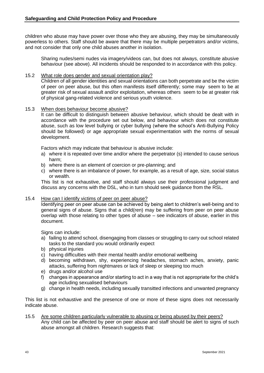children who abuse may have power over those who they are abusing, they may be simultaneously powerless to others. Staff should be aware that there may be multiple perpetrators and/or victims, and not consider that only one child abuses another in isolation.

Sharing nudes/semi nudes via imagery/videos can, but does not always, constitute abusive behaviour (see above). All incidents should be responded to in accordance with this policy.

#### <span id="page-42-0"></span>15.2 What role does gender and sexual orientation play?

Children of all gender identities and sexual orientations can both perpetrate and be the victim of peer on peer abuse, but this often manifests itself differently; some may seem to be at greater risk of sexual assault and/or exploitation, whereas others seem to be at greater risk of physical gang-related violence and serious youth violence.

#### <span id="page-42-1"></span>15.3 When does behaviour become abusive?

It can be difficult to distinguish between abusive behaviour, which should be dealt with in accordance with the procedure set out below, and behaviour which does not constitute abuse, such as low level bullying or cyber bullying (where the school's Anti-Bullying Policy should be followed) or age appropriate sexual experimentation with the norms of sexual development.

Factors which may indicate that behaviour is abusive include:

- a) where it is repeated over time and/or where the perpetrator (s) intended to cause serious harm;
- b) where there is an element of coercion or pre-planning; and
- c) where there is an imbalance of power, for example, as a result of age, size, social status or wealth.

This list is not exhaustive, and staff should always use their professional judgment and discuss any concerns with the DSL, who in turn should seek guidance from the RSL.

#### <span id="page-42-2"></span>15.4 How can I identify victims of peer on peer abuse?

Identifying peer on peer abuse can be achieved by being alert to children's well-being and to general signs of abuse. Signs that a child(ren) may be suffering from peer on peer abuse overlap with those relating to other types of abuse – see indicators of abuse, earlier in this document.

Signs can include:

- a) failing to attend school, disengaging from classes or struggling to carry out school related tasks to the standard you would ordinarily expect
- b) physical injuries
- c) having difficulties with their mental health and/or emotional wellbeing
- d) becoming withdrawn, shy, experiencing headaches, stomach aches, anxiety, panic attacks, suffering from nightmares or lack of sleep or sleeping too much
- e) drugs and/or alcohol use
- f) changes in appearance and/or starting to act in a way that is not appropriate for the child's age including sexualised behaviours
- g) change in health needs, including sexually transitted infections and unwanted pregnancy

This list is not exhaustive and the presence of one or more of these signs does not necessarily indicate abuse.

#### <span id="page-42-3"></span>15.5 Are some children particularly vulnerable to abusing or being abused by their peers? Any child can be affected by peer on peer abuse and staff should be alert to signs of such abuse amongst all children. Research suggests that: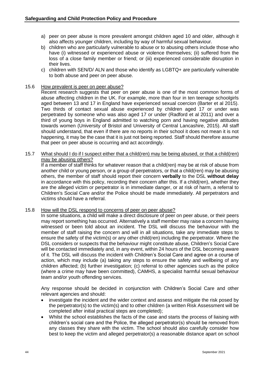- a) peer on peer abuse is more prevalent amongst children aged 10 and older, although it also affects younger children, including by way of harmful sexual behaviour.
- b) children who are particularly vulnerable to abuse or to abusing others include those who have (i) witnessed or experienced abuse or violence themselves; (ii) suffered from the loss of a close family member or friend; or (iii) experienced considerable disruption in their lives.
- c) children with SEN/D/ ALN and those who identify as LGBTQ+ are particularly vulnerable to both abuse and peer on peer abuse.

#### <span id="page-43-0"></span>15.6 How prevalent is peer on peer abuse?

Recent research suggests that peer on peer abuse is one of the most common forms of abuse affecting children in the UK. For example, more than four in ten teenage schoolgirls aged between 13 and 17 in England have experienced sexual coercion (Barter et al 2015). Two thirds of contact sexual abuse experienced by children aged 17 or under was perpetrated by someone who was also aged 17 or under (Radford et al 2011) and over a third of young boys in England admitted to watching porn and having negative attitudes towards women (University of Bristol and University of Central Lancashire, 2015). All staff should understand, that even if there are no reports in their school it does not mean it is not happening, it may be the case that it is just not being reported. Staff should therefore assume that peer on peer abuse is occurring and act accordingly.

#### <span id="page-43-1"></span>15.7 What should I do if I suspect either that a child(ren) may be being abused, or that a child(ren) may be abusing others?

If a member of staff thinks for whatever reason that a child(ren) may be at risk of abuse from another child or young person, or a group of perpetrators, or that a child(ren) may be abusing others, the member of staff should report their concern **verbally** to the DSL **without delay** in accordance with this policy, recording their concern after this. If a child(ren), whether they are the alleged victim or perpetrator is in immediate danger, or at risk of harm, a referral to Children's Social Care and/or the Police should be made immediately. All perpetrators and victims should have a referral.

#### <span id="page-43-2"></span>15.8 How will the DSL respond to concerns of peer on peer abuse?

In some situations, a child will make a direct disclosure of peer on peer abuse, or their peers may report something has occurred. Alternatively a staff member may raise a concern having witnessed or been told about an incident. The DSL will discuss the behaviour with the member of staff raising the concern and will in all situations, take any immediate steps to ensure the safety of the victim(s) or any other child(ren) including the perpetrator. Where the DSL considers or suspects that the behaviour might constitute abuse, Children's Social Care will be contacted immediately and, in any event, within 24 hours of the DSL becoming aware of it. The DSL will discuss the incident with Children's Social Care and agree on a course of action, which may include (a) taking any steps to ensure the safety and wellbeing of any children affected; (b) further investigation; (c) referral to other agencies such as the police (where a crime may have been committed), CAMHS, a specialist harmful sexual behaviour team and/or youth offending services.

Any response should be decided in conjunction with Children's Social Care and other relevant agencies and should:

- investigate the incident and the wider context and assess and mitigate the risk posed by the perpetrator(s) to the victim(s) and to other children (a written Risk Assessment will be completed after initial practical steps are completed);
- Whilst the school establishes the facts of the case and starts the process of liaising with children's social care and the Police, the alleged perpetrator(s) should be removed from any classes they share with the victim. The school should also carefully consider how best to keep the victim and alleged perpetrator(s) a reasonable distance apart on school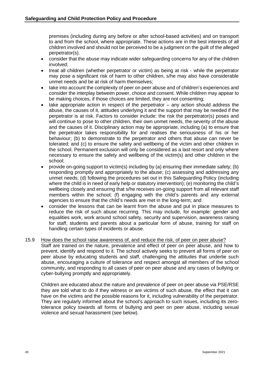premises (including during any before or after school-based activities) and on transport to and from the school, where appropriate. These actions are in the best interests of all children involved and should not be perceived to be a judgment on the guilt of the alleged perpetrator(s).

- consider that the abuse may indicate wider safeguarding concerns for any of the children involved;
- treat all children (whether perpetrator or victim) as being at risk while the perpetrator may pose a significant risk of harm to other children, s/he may also have considerable unmet needs and be at risk of harm themselves;
- take into account the complexity of peer on peer abuse and of children's experiences and consider the interplay between power, choice and consent. While children may appear to be making choices, if those choices are limited, they are not consenting;
- take appropriate action in respect of the perpetrator  $-$  any action should address the abuse, the causes of it, attitudes underlying it and the support that may be needed if the perpetrator is at risk. Factors to consider include: the risk the perpetrator(s) poses and will continue to pose to other children, their own unmet needs, the severity of the abuse and the causes of it. Disciplinary action may be appropriate, including (a) to ensure that the perpetrator takes responsibility for and realises the seriousness of his or her behaviour; (b) to demonstrate to the perpetrator and others that abuse can never be tolerated; and (c) to ensure the safety and wellbeing of the victim and other children in the school. Permanent exclusion will only be considered as a last resort and only where necessary to ensure the safety and wellbeing of the victim(s) and other children in the school;
- provide on-going support to victim(s) including by (a) ensuring their immediate safety; (b) responding promptly and appropriately to the abuse; (c) assessing and addressing any unmet needs; (d) following the procedures set out in this Safeguarding Policy (including where the child is in need of early help or statutory intervention); (e) monitoring the child's wellbeing closely and ensuring that s/he receives on-going support from all relevant staff members within the school; (f) engaging with the child's parents and any external agencies to ensure that the child's needs are met in the long-term; and
- consider the lessons that can be learnt from the abuse and put in place measures to reduce the risk of such abuse recurring. This may include, for example: gender and equalities work, work around school safety, security and supervision, awareness raising for staff, students and parents about a particular form of abuse, training for staff on handling certain types of incidents or abuse.
- <span id="page-44-0"></span>15.9 How does the school raise awareness of, and reduce the risk, of peer on peer abuse? Staff are trained on the nature, prevalence and effect of peer on peer abuse, and how to prevent, identify and respond to it. The school actively seeks to prevent all forms of peer on peer abuse by educating students and staff, challenging the attitudes that underlie such abuse, encouraging a culture of tolerance and respect amongst all members of the school community, and responding to all cases of peer on peer abuse and any cases of bullying or cyber-bullying promptly and appropriately.

Children are educated about the nature and prevalence of peer on peer abuse via PSE/RSE they are told what to do if they witness or are victims of such abuse, the effect that it can have on the victims and the possible reasons for it, including vulnerability of the perpetrator. They are regularly informed about the school's approach to such issues, including its zerotolerance policy towards all forms of bullying and peer on peer abuse, including sexual violence and sexual harassment (see below).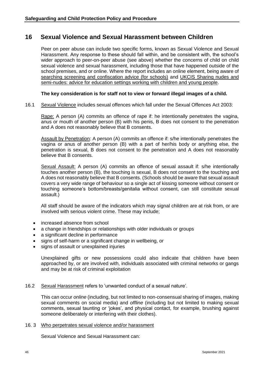## <span id="page-45-0"></span>**16 Sexual Violence and Sexual Harassment between Children**

Peer on peer abuse can include two specific forms, known as Sexual Violence and Sexual Harassment. Any response to these should fall within, and be consistent with, the school's wider approach to peer-on-peer abuse (see above) whether the concerns of child on child sexual violence and sexual harassment, including those that have happened outside of the school premises, and or online. Where the report includes an online element, being aware of [searching screening and confiscation advice \(for schools\)](https://assets.publishing.service.gov.uk/government/uploads/system/uploads/attachment_data/file/674416/Searching_screening_and_confiscation.pdf) and [UKCIS Sharing nudes and](https://www.gov.uk/government/publications/sharing-nudes-and-semi-nudes-advice-for-education-settings-working-with-children-and-young-people/sharing-nudes-and-semi-nudes-advice-for-education-settings-working-with-children-and-young-people)  [semi-nudes: advice for education settings working with children and young people.](https://www.gov.uk/government/publications/sharing-nudes-and-semi-nudes-advice-for-education-settings-working-with-children-and-young-people/sharing-nudes-and-semi-nudes-advice-for-education-settings-working-with-children-and-young-people)

#### **The key consideration is for staff not to view or forward illegal images of a child.**

16.1 Sexual Violence includes sexual offences which fall under the Sexual Offences Act 2003:

Rape: A person (A) commits an offence of rape if: he intentionally penetrates the vagina, anus or mouth of another person (B) with his penis, B does not consent to the penetration and A does not reasonably believe that B consents.

Assault by Penetration: A person (A) commits an offence if: s/he intentionally penetrates the vagina or anus of another person (B) with a part of her/his body or anything else, the penetration is sexual, B does not consent to the penetration and A does not reasonably believe that B consents.

Sexual Assault: A person (A) commits an offence of sexual assault if: s/he intentionally touches another person (B), the touching is sexual, B does not consent to the touching and A does not reasonably believe that B consents. (Schools should be aware that sexual assault covers a very wide range of behaviour so a single act of kissing someone without consent or touching someone's bottom/breasts/genitalia without consent, can still constitute sexual assault.)

All staff should be aware of the indicators which may signal children are at risk from, or are involved with serious violent crime. These may include;

- increased absence from school
- a change in friendships or relationships with older individuals or groups
- a significant decline in performance
- signs of self-harm or a significant change in wellbeing, or
- signs of assault or unexplained injuries

Unexplained gifts or new possessions could also indicate that children have been approached by, or are involved with, individuals associated with criminal networks or gangs and may be at risk of criminal exploitation

#### 16.2 Sexual Harassment refers to 'unwanted conduct of a sexual nature'.

This can occur *online* (including, but not limited to non-consensual sharing of images, making sexual comments on social media) and *offline* (including but not limited to making sexual comments, sexual taunting or 'jokes', and physical contact, for example, brushing against someone deliberately or interfering with their clothes).

#### 16. 3 Who perpetrates sexual violence and/or harassment

Sexual Violence and Sexual Harassment can: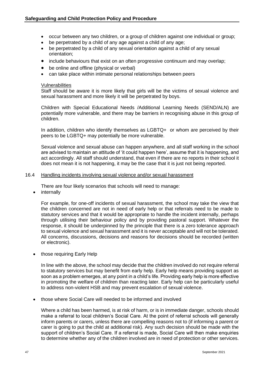- occur between any two children, or a group of children against one individual or group;
- be perpetrated by a child of any age against a child of any age;
- be perpetrated by a child of any sexual orientation against a child of any sexual orientation;
- include behaviours that exist on an often progressive continuum and may overlap;
- be online and offline (physical or verbal)
- can take place within intimate personal relationships between peers

#### Vulnerabilities

Staff should be aware it is more likely that girls will be the victims of sexual violence and sexual harassment and more likely it will be perpetrated by boys.

Children with Special Educational Needs /Additional Learning Needs (SEND/ALN) are potentially more vulnerable, and there may be barriers in recognising abuse in this group of children.

In addition, children who identify themselves as LGBTQ+ or whom are perceived by their peers to be LGBTQ+ may potentially be more vulnerable.

Sexual violence and sexual abuse can happen anywhere, and all staff working in the school are advised to maintain an attitude of 'it could happen here', assume that it is happening, and act accordingly. All staff should understand, that even if there are no reports in their school it does not mean it is not happening, it may be the case that it is just not being reported.

#### 16.4 Handling incidents involving sexual violence and/or sexual harassment

There are four likely scenarios that schools will need to manage:

• internally

For example, for one-off incidents of sexual harassment, the school may take the view that the children concerned are not in need of early help or that referrals need to be made to statutory services and that it would be appropriate to handle the incident internally, perhaps through utilising their behaviour policy and by providing pastoral support. Whatever the response, it should be underpinned by the principle that there is a zero tolerance approach to sexual violence and sexual harassment and it is never acceptable and will not be tolerated. All concerns, discussions, decisions and reasons for decisions should be recorded (written or electronic).

• those requiring Early Help

In line with the above, the school may decide that the children involved do not require referral to statutory services but may benefit from early help. Early help means providing support as soon as a problem emerges, at any point in a child's life. Providing early help is more effective in promoting the welfare of children than reacting later. Early help can be particularly useful to address non-violent HSB and may prevent escalation of sexual violence.

• those where Social Care will needed to be informed and involved

Where a child has been harmed, is at risk of harm, or is in immediate danger, schools should make a referral to local children's Social Care. At the point of referral schools will generally inform parents or carers, unless there are compelling reasons not to (if informing a parent or carer is going to put the child at additional risk). Any such decision should be made with the support of children's Social Care. If a referral is made, Social Care will then make enquiries to determine whether any of the children involved are in need of protection or other services.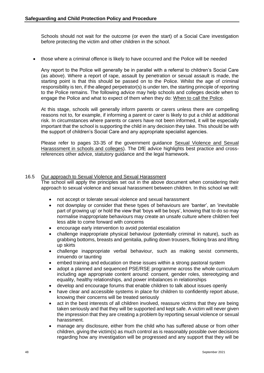Schools should not wait for the outcome (or even the start) of a Social Care investigation before protecting the victim and other children in the school.

• those where a criminal offence is likely to have occurred and the Police will be needed

Any report to the Police will generally be in parallel with a referral to children's Social Care (as above). Where a report of rape, assault by penetration or sexual assault is made, the starting point is that this should be passed on to the Police. Whilst the age of criminal responsibility is ten, if the alleged perpetrator(s) is under ten, the starting principle of reporting to the Police remains. The following advice may help schools and colleges decide when to engage the Police and what to expect of them when they do: [When to call the Police.](https://www.npcc.police.uk/documents/Children%20and%20Young%20people/When%20to%20call%20the%20police%20guidance%20for%20schools%20and%20colleges.pdf)

At this stage, schools will generally inform parents or carers unless there are compelling reasons not to, for example, if informing a parent or carer is likely to put a child at additional risk. In circumstances where parents or carers have not been informed, it will be especially important that the school is supporting the child in any decision they take. This should be with the support of children's Social Care and any appropriate specialist agencies.

Please refer to pages 33-35 of the government guidance [Sexual Violence and Sexual](https://assets.publishing.service.gov.uk/government/uploads/system/uploads/attachment_data/file/999239/SVSH_2021.pdf)  [Harasssment in schools and colleges\)](https://assets.publishing.service.gov.uk/government/uploads/system/uploads/attachment_data/file/999239/SVSH_2021.pdf). The DfE advice highlights best practice and crossreferences other advice, statutory guidance and the legal framework.

#### 16.5 Our approach to Sexual Violence and Sexual Harassment

The school will apply the principles set out in the above document when considering their approach to sexual violence and sexual harassment between children. In this school we will:

- not accept or tolerate sexual violence and sexual harassment
- not downplay or consider that these types of behaviours are 'banter', an 'inevitable part of growing up' or hold the view that 'boys will be boys', knowing that to do so may normalise inappropriate behaviours may create an unsafe culture where children feel less able to come forward with concerns
- encourage early intervention to avoid potential escalation
- challenge inappropriate physical behaviour (potentially criminal in nature), such as grabbing bottoms, breasts and genitalia, pulling down trousers, flicking bras and lifting up skirts
- challenge inappropriate verbal behaviour, such as making sexist comments, innuendo or taunting
- embed training and education on these issues within a strong pastoral system
- adopt a planned and sequenced PSE/RSE programme across the whole curriculum including age appropriate content around: consent, gender roles, stereotyping and equality, healthy relationships, and power imbalances in relationships
- develop and encourage forums that enable children to talk about issues openly
- have clear and accessible systems in place for children to confidently report abuse, knowing their concerns will be treated seriously
- act in the best interests of all children involved, reassure victims that they are being taken seriously and that they will be supported and kept safe. A victim will never given the impression that they are creating a problem by reporting sexual violence or sexual harassment.
- manage any disclosure, either from the child who has suffered abuse or from other children, giving the victim(s) as much control as is reasonably possible over decisions regarding how any investigation will be progressed and any support that they will be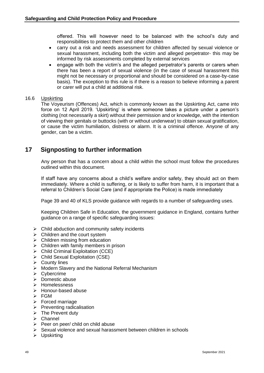offered. This will however need to be balanced with the school's duty and responsibilities to protect them and other children

- carry out a risk and needs assessment for children affected by sexual violence or sexual harassment, including both the victim and alleged perpetrator- this may be informed by risk assessments completed by external services
- engage with both the victim's and the alleged perpetrator's parents or carers when there has been a report of sexual violence (in the case of sexual harassment this might not be necessary or proportional and should be considered on a case-by-case basis). The exception to this rule is if there is a reason to believe informing a parent or carer will put a child at additional risk.

#### 16.6 Upskirting

The Voyeurism (Offences) Act, which is commonly known as the Upskirting Act, came into force on 12 April 2019. 'Upskirting' is where someone takes a picture under a person's clothing (not necessarily a skirt) without their permission and or knowledge, with the intention of viewing their genitals or buttocks (with or without underwear) to obtain sexual gratification, or cause the victim humiliation, distress or alarm. It is a criminal offence. Anyone of any gender, can be a victim.

## <span id="page-48-0"></span>**17 Signposting to further information**

Any person that has a concern about a child within the school must follow the procedures outlined within this document.

If staff have any concerns about a child's welfare and/or safety, they should act on them immediately. Where a child is suffering, or is likely to suffer from harm, it is important that a referral to Children's Social Care (and if appropriate the Police) is made immediately

Page 39 and 40 of KLS provide guidance with regards to a number of safeguarding uses.

Keeping Children Safe in Education, the government guidance in England, contains further guidance on a range of specific safeguarding issues:

- $\triangleright$  Child abduction and community safety incidents
- $\triangleright$  Children and the court system
- $\triangleright$  Children missing from education
- ➢ Children with family members in prison
- $\triangleright$  Child Criminal Exploitation (CCE)
- ➢ Child Sexual Exploitation (CSE)
- ➢ County lines
- ➢ Modern Slavery and the National Referral Mechanism
- ➢ Cybercrime
- $\triangleright$  Domestic abuse
- ➢ Homelessness
- ➢ Honour-based abuse
- ➢ FGM
- ➢ Forced marriage
- ➢ Preventing radicalisation
- $\triangleright$  The Prevent duty
- ➢ Channel
- ➢ Peer on peer/ child on child abuse
- ➢ Sexual violence and sexual harassment between children in schools
- ➢ Upskirting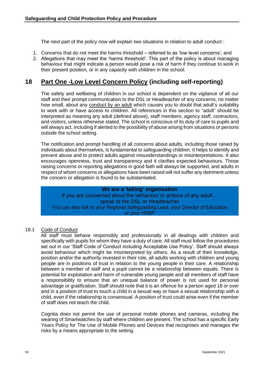The next part of the policy now will explain two situations in relation to adult conduct :

- 1. Concerns that do not meet the harms threshold referred to as 'low level concerns'; and
- 2. Allegations that may meet the 'harms threshold'. This part of the policy is about managing behaviour that might indicate a person would pose a risk of harm if they continue to work in their present position, or in any capacity with children in the school.

## <span id="page-49-0"></span>**18 Part One -Low Level Concern Policy (including self-reporting)**

The safety and wellbeing of children in our school is dependent on the vigilance of all our staff and their prompt communication to the DSL or Headteacher of any concerns, no matter how small, about any conduct by an adult which causes you to doubt that adult's suitability to work with or have access to children. All references in this section to "adult" should be interpreted as meaning any adult (defined above), staff members, agency staff, contractors, and visitors, unless otherwise stated. The school is conscious of its duty of care to pupils and will always act, including if alerted to the possibility of abuse arising from situations or persons outside the school setting.

The notification and prompt handling of all concerns about adults, including those raised by individuals about themselves, is fundamental to safeguarding children. It helps to identify and prevent abuse and to protect adults against misunderstandings or misinterpretations. It also encourages openness, trust and transparency and it clarifies expected behaviours. Those raising concerns or reporting allegations in good faith will always be supported, and adults in respect of whom concerns or allegations have been raised will not suffer any detriment unless the concern or allegation is found to be substantiated.

**We are a 'telling' organisation**  If you are concerned about the behaviour or actions of any adult… speak to the DSL or Headteacher You can also talk to your Regional Safeguarding Lead, your Director of Education or your HRBP

#### <span id="page-49-1"></span>18.1 Code of Conduct

All staff must behave responsibly and professionally in all dealings with children and specifically with pupils for whom they have a duty of care. All staff must follow the procedures set out in our 'Staff Code of Conduct including Acceptable Use Policy'. Staff should always avoid behaviour which might be misinterpreted by others. As a result of their knowledge, position and/or the authority invested in their role, all adults working with children and young people are in positions of trust in relation to the young people in their care. A relationship between a member of staff and a pupil cannot be a relationship between equals. There is potential for exploitation and harm of vulnerable young people and all members of staff have a responsibility to ensure that an unequal balance of power is not used for personal advantage or gratification. Staff should note that it is an offence for a person aged 18 or over and in a position of trust to touch a child in a sexual way or have a sexual relationship with a child, even if the relationship is consensual. A position of trust could arise even if the member of staff does not teach the child.

Cognita does not permit the use of personal mobile phones and cameras, including the wearing of Smartwatches by staff where children are present. The school has a specific Early Years Policy for The Use of Mobile Phones and Devices that recognises and manages the risks by a means appropriate to the setting.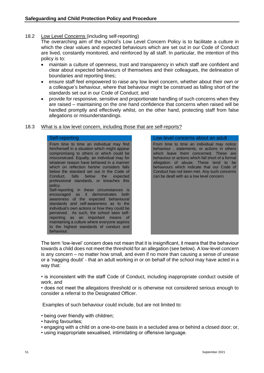#### <span id="page-50-0"></span>18.2 Low Level Concerns (including self-reporting)

The overarching aim of the school's Low Level Concern Policy is to facilitate a culture in which the clear values and expected behaviours which are set out in our Code of Conduct are lived, constantly monitored, and reinforced by all staff. In particular, the intention of this policy is to:

- maintain a culture of openness, trust and transparency in which staff are confident and clear about expected behaviours of themselves and their colleagues, the delineation of boundaries and reporting lines;
- ensure staff feel empowered to raise any low level concern, whether about their own or a colleague's behaviour, where that behaviour might be construed as falling short of the standards set out in our Code of Conduct; and
- provide for responsive, sensitive and proportionate handling of such concerns when they are raised – maintaining on the one hand confidence that concerns when raised will be handled promptly and effectively whilst, on the other hand, protecting staff from false allegations or misunderstandings.

#### <span id="page-50-1"></span>18.3 What is a low level concern, including those that are self-reports?

#### Self-reporting Low level concerns about an adult

From time to time an individual may find him/herself in a situation which might appear compromising to others or which could be misconstrued. Equally, an individual may for whatever reason have behaved in a manner which on reflection he/she considers falls below the standard set out in the Code of Conduct, falls below the expected professional standards, or breaches this policy. Self-reporting in these circumstances is encouraged as it demonstrates both awareness of the expected behavioural standards and self-awareness as to the individual's own actions or how they could be perceived. As such, the school sees selfreporting as an important means of maintaining a culture where everyone aspires to the highest standards of conduct and behaviour.

From time to time an individual may notice behaviour , statements, or actions in others which leave them concerned. These are behaviour or actions which fall short of a formal allegation of abuse. These tend to be behaviours which indicate that our Code of Conduct has not been met. Any such concerns can be dealt with as a low level concern.

The term 'low-level' concern does not mean that it is insignificant, it means that the behaviour towards a child does not meet the threshold for an allegation (see below). A low-level concern is any concern – no matter how small, and even if no more than causing a sense of unease or a 'nagging doubt' - that an adult working in or on behalf of the school may have acted in a way that:

• is inconsistent with the staff Code of Conduct, including inappropriate conduct outside of work, and

• does not meet the allegations threshold or is otherwise not considered serious enough to consider a referral to the Designated Officer.

Examples of such behaviour could include, but are not limited to:

- being over friendly with children;
- having favourites;
- engaging with a child on a one-to-one basis in a secluded area or behind a closed door; or,
- using inappropriate sexualised, intimidating or offensive language.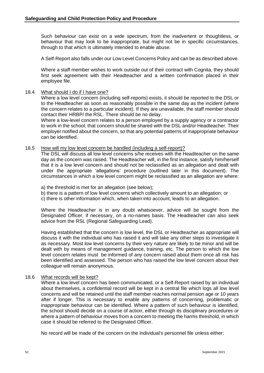Such behaviour can exist on a wide spectrum, from the inadvertent or thoughtless, or behaviour that may look to be inappropriate, but might not be in specific circumstances, through to that which is ultimately intended to enable abuse.

A Self-Report also falls under our Low Level Concerns Policy and can be as described above.

Where a staff member wishes to work outside out of their contract with Cognita, they should first seek agreement with their Headteacher and a written confirmation placed in their employee file.

#### <span id="page-51-0"></span>18.4 What should I do if I have one?

Where a low level concern (including self-reports) exists, it should be reported to the DSL or to the Headteacher as soon as reasonably possible in the same day as the incident (where the concern relates to a particular incident). If they are unavailable, the staff member should contact their HRBP/ the RSL. There should be no delay.

Where a low-level concern relates to a person employed by a supply agency or a contractor to work in the school, that concern should be shared with the DSL and/or Headteacher. Their employer notified about the concern, so that any potential patterns of inappropriate behaviour can be identified.

#### <span id="page-51-1"></span>18.5 How will my low level concern be handled (including a self-report)?

The DSL will discuss all low level concerns s/he receives with the Headteacher on the same day as the concern was raised. The Headteacher will, in the first instance, satisfy him/herself that it is a low level concern and should not be reclassified as an *allegation* and dealt with under the appropriate 'allegations' procedure (outlined later in this document). The circumstances in which a low level concern might be reclassified as an allegation are where:

a) the threshold is met for an allegation (see below);

- b) there is a pattern of low level concerns which collectively amount to an allegation; or
- c) there is other information which, when taken into account, leads to an allegation.

Where the Headteacher is in any doubt whatsoever, advice will be sought from the Designated Officer, if necessary, on a no-names basis. The Headteacher can also seek advice from the RSL (Regional Safeguarding Lead).

Having established that the concern is low level, the DSL or Headteacher as appropriate will discuss it with the individual who has raised it and will take any other steps to investigate it as necessary. Most low level concerns by their very nature are likely to be minor and will be dealt with by means of management guidance, training, etc. The person to which the low level concern relates must be informed of any concern raised about them once all risk has been identified and assessed. The person who has raised the low level concern about their colleague will remain anonymous.

#### <span id="page-51-2"></span>18.6 What records will be kept?

Where a low level concern has been communicated, or a Self-Report raised by an individual about themselves, a confidential record will be kept in a central file which logs all low level concerns and will be retained until the staff member reaches normal pension age or 10 years after if longer. This is necessary to enable any patterns of concerning, problematic or inappropriate behaviour can be identified. Where a pattern of such behaviour is identified, the school should decide on a course of action, either through its disciplinary procedures or where a pattern of behaviour moves from a concern to meeting the harms threshold, in which case it should be referred to the Designated Officer.

No record will be made of the concern on the individual's personnel file unless either: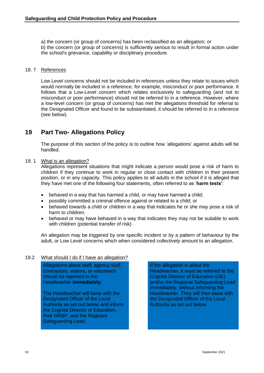a) the concern (or group of concerns) has been reclassified as an allegation; or b) the concern (or group of concerns) is sufficiently serious to result in formal action under the school's grievance, capability or disciplinary procedure.

#### 18. 7 References

Low Level concerns should not be included in references unless they relate to issues which would normally be included in a reference, for example, misconduct or poor performance. It follows that a Low-Level concern which relates exclusively to safeguarding (and not to misconduct or poor performance) should not be referred to in a reference. However, where a low-level concern (or group of concerns) has met the allegations threshold for referral to the Designated Officer and found to be substantiated, it should be referred to in a reference (see below).

## <span id="page-52-0"></span>**19 Part Two- Allegations Policy**

The purpose of this section of the policy is to outline how 'allegations' against adults will be handled.

#### <span id="page-52-1"></span>19. 1 What is an allegation?

Allegations represent situations that might indicate a person would pose a risk of harm to children if they continue to work in regular or close contact with children in their present position, or in any capacity. This policy applies to all adults in the school if it is alleged that they have met one of the following four statements, often referred to as '**harm tests'**:

- behaved in a way that has harmed a child, or may have harmed a child;
- possibly committed a criminal offence against or related to a child; or
- behaved towards a child or children in a way that indicates he or she may pose a risk of harm to children.
- behaved or may have behaved in a way that indicates they may not be suitable to work with children (potential transfer of risk)

An allegation may be triggered by one specific incident or by a pattern of behaviour by the adult, or Low Level concerns which when considered *collectively* amount to an allegation.

#### <span id="page-52-2"></span>19.2 What should I do if I have an allegation?

Allegations about staff, agency staff, contractors, visitors, or volunteers should be reported to the Headteacher **immediately**.

The Headteacher will liaise with the Designated Officer of the Local Authority as set out below and inform the Cognita Director of Education, their HRBP, and the Regioanl Safeguarding Lead.

If the allegation is about the Headteacher, it must be referred to the Cognita Director of Education (DE) and/or the Regional Safeguarding Lead immediately, without informing the Headteacher. They will then liaise with the Designated Officer of the Local Authority as set out below.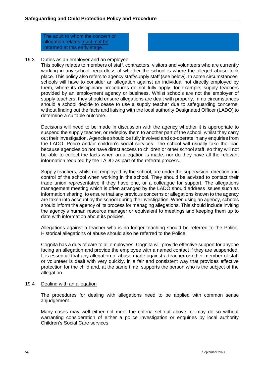The adult to whom the concern or allegation relates must not be informed at this early stage.

#### <span id="page-53-0"></span>19.3 Duties as an employer and an employee

This policy relates to members of staff, contractors, visitors and volunteers who are currently working in any school, regardless of whether the school is where the alleged abuse took place. This policy also refers to agency staff/supply staff (see below). In some circumstances, schools will have to consider an allegation against an individual not directly employed by them, where its disciplinary procedures do not fully apply, for example, supply teachers provided by an employment agency or business. Whilst schools are not the employer of supply teachers, they should ensure allegations are dealt with properly. In no circumstances should a school decide to cease to use a supply teacher due to safeguarding concerns, without finding out the facts and liaising with the local authority Designated Officer (LADO) to determine a suitable outcome.

Decisions will need to be made in discussion with the agency whether it is appropriate to suspend the supply teacher, or redeploy them to another part of the school, whilst they carry out their investigation. Agencies should be fully involved and co-operate in any enquiries from the LADO, Police and/or children's social services. The school will usually take the lead because agencies do not have direct access to children or other school staff, so they will not be able to collect the facts when an allegation is made, nor do they have all the relevant information required by the LADO as part of the referral process.

Supply teachers, whilst not employed by the school, are under the supervision, direction and control of the school when working in the school. They should be advised to contact their trade union representative if they have one, or a colleague for support. The allegations management meeting which is often arranged by the LADO should address issues such as information sharing, to ensure that any previous concerns or allegations known to the agency are taken into account by the school during the investigation. When using an agency, schools should inform the agency of its process for managing allegations. This should include inviting the agency's human resource manager or equivalent to meetings and keeping them up to date with information about its policies.

Allegations against a teacher who is no longer teaching should be referred to the Police. Historical allegations of abuse should also be referred to the Police.

Cognita has a duty of care to all employees. Cognita will provide effective support for anyone facing an allegation and provide the employee with a named contact if they are suspended. It is essential that any allegation of abuse made against a teacher or other member of staff or volunteer is dealt with very quickly, in a fair and consistent way that provides effective protection for the child and, at the same time, supports the person who is the subject of the allegation.

#### <span id="page-53-1"></span>19.4 Dealing with an allegation

The procedures for dealing with allegations need to be applied with common sense anjudgement.

Many cases may well either not meet the criteria set out above, or may do so without warranting consideration of either a police investigation or enquiries by local authority Children's Social Care services.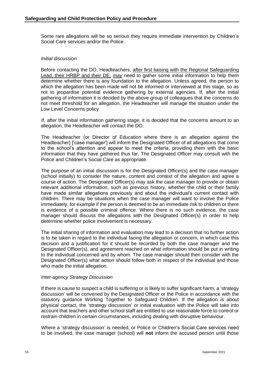Some rare allegations will be so serious they require immediate intervention by Children's Social Care services and/or the Police.

#### *Initial discussion*

Before contacting the DO, Headteachers, after first liaising with the Regional Safeguarding Lead, their HRBP and their DE, *may* need to gather some initial information to help them determine whether there is any foundation to the allegation. Unless agreed, the person to which the allegation has been made will not be informed or interviewed at this stage, so as not to jeopardise potential evidence gathering by external agencies. If, after the initial gathering of information it is decided by the above group of colleagues that the concerns do not meet threshold for an allegation, the Headteacher will manage the situation under the Low Level Concerns policy

If, after the initial information gathering stage, it is decided that the concerns amount to an allegation, the Headteacher will contact the DO.

The Headteacher (or Director of Education where there is an allegation against the Headteacher) ['case manager'] will inform the Designated Officer of all allegations that come to the school's attention and appear to meet the criteria, providing them with the basic information that they have gathered thus far. The Designated Officer may consult with the Police and Children's Social Care as appropriate.

The purpose of an initial discussion is for the Designated Officer(s) and the case manager (school initially) to consider the nature, content and context of the allegation and agree a course of action. The Designated Officer(s) may ask the case manager to provide or obtain relevant additional information, such as previous history, whether the child or their family have made similar allegations previously and about the individual's current contact with children. There may be situations when the case manager will want to involve the Police immediately, for example if the person is deemed to be an immediate risk to children or there is evidence of a possible criminal offence. Where there is no such evidence, the case manager should discuss the allegations with the Designated Officer(s) in order to help determine whether police involvement is necessary.

The initial sharing of information and evaluation may lead to a decision that no further action is to be taken in regard to the individual facing the allegation or concern, in which case this decision and a justification for it should be recorded by both the case manager and the Designated Officer(s), and agreement reached on what information should be put in writing to the individual concerned and by whom. The case manager should then consider with the Designated Officer(s) what action should follow both in respect of the individual and those who made the initial allegation.

#### *Inter-agency Strategy Discussion*

If there is cause to suspect a child is suffering or is likely to suffer significant harm, a 'strategy discussion' will be convened by the Designated Officer or the Police in accordance with the statutory guidance Working Together to Safeguard Children. If the allegation is about physical contact, the 'strategy discussion' or initial evaluation with the Police will take into account that teachers and other school staff are entitled to use reasonable force to control or restrain children in certain circumstances, including dealing with disruptive behaviour.

Where a 'strategy discussion' is needed, or Police or Children's Social Care services need to be involved, the case manager (school) will **not** inform the accused person until those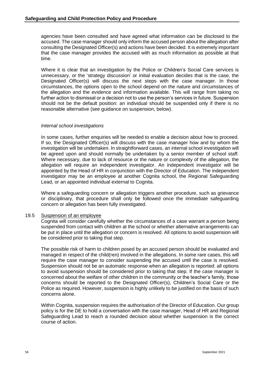agencies have been consulted and have agreed what information can be disclosed to the accused. The case manager should only inform the accused person about the allegation after consulting the Designated Officer(s) and actions have been decided. It is extremely important that the case manager provides the accused with as much information as possible at that time.

Where it is clear that an investigation by the Police or Children's Social Care services is unnecessary, or the 'strategy discussion' or initial evaluation decides that is the case, the Designated Officer(s) will discuss the next steps with the case manager. In those circumstances, the options open to the school depend on the nature and circumstances of the allegation and the evidence and information available. This will range from taking no further action to dismissal or a decision not to use the person's services in future. Suspension should not be the default position: an individual should be suspended only if there is no reasonable alternative (see guidance on suspension, below).

#### *Internal school investigations*

In some cases, further enquiries will be needed to enable a decision about how to proceed. If so, the Designated Officer(s) will discuss with the case manager how and by whom the investigation will be undertaken. In straightforward cases, an internal school investigation will be agreed upon and should normally be undertaken by a senior member of school staff. Where necessary, due to lack of resource or the nature or complexity of the allegation, the allegation will require an independent investigator. An independent investigator will be appointed by the Head of HR in conjunction with the Director of Education. The independent investigator may be an employee at another Cognita school, the Regional Safeguarding Lead, or an appointed individual external to Cognita.

Where a safeguarding concern or allegation triggers another procedure, such as grievance or disciplinary, that procedure shall only be followed once the immediate safeguarding concern or allegation has been fully investigated.

#### <span id="page-55-0"></span>19.5 Suspension of an employee

Cognita will consider carefully whether the circumstances of a case warrant a person being suspended from contact with children at the school or whether alternative arrangements can be put in place until the allegation or concern is resolved. All options to avoid suspension will be considered prior to taking that step.

The possible risk of harm to children posed by an accused person should be evaluated and managed in respect of the child(ren) involved in the allegations. In some rare cases, this will require the case manager to consider suspending the accused until the case is resolved. Suspension should not be an automatic response when an allegation is reported: all options to avoid suspension should be considered prior to taking that step. If the case manager is concerned about the welfare of other children in the community or the teacher's family, those concerns should be reported to the Designated Officer(s), Children's Social Care or the Police as required. However, suspension is highly unlikely to be justified on the basis of such concerns alone.

Within Cognita, suspension requires the authorisation of the Director of Education. Our group policy is for the DE to hold a conversation with the case manager, Head of HR and Regional Safeguarding Lead to reach a rounded decision about whether suspension is the correct course of action.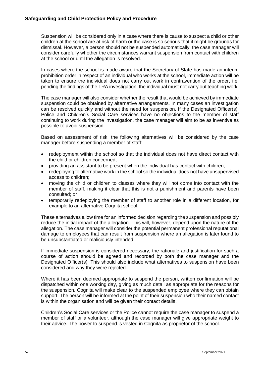Suspension will be considered only in a case where there is cause to suspect a child or other children at the school are at risk of harm or the case is so serious that it might be grounds for dismissal. However, a person should not be suspended automatically: the case manager will consider carefully whether the circumstances warrant suspension from contact with children at the school or until the allegation is resolved.

In cases where the school is made aware that the Secretary of State has made an interim prohibition order in respect of an individual who works at the school, immediate action will be taken to ensure the individual does not carry out work in contravention of the order, i.e. pending the findings of the TRA investigation, the individual must not carry out teaching work.

The case manager will also consider whether the result that would be achieved by immediate suspension could be obtained by alternative arrangements. In many cases an investigation can be resolved quickly and without the need for suspension. If the Designated Officer(s), Police and Children's Social Care services have no objections to the member of staff continuing to work during the investigation, the case manager will aim to be as inventive as possible to avoid suspension.

Based on assessment of risk, the following alternatives will be considered by the case manager before suspending a member of staff:

- redeployment within the school so that the individual does not have direct contact with the child or children concerned;
- providing an assistant to be present when the individual has contact with children;
- redeploying to alternative work in the school so the individual does not have unsupervised access to children;
- moving the child or children to classes where they will not come into contact with the member of staff, making it clear that this is not a punishment and parents have been consulted; or
- temporarily redeploying the member of staff to another role in a different location, for example to an alternative Cognita school.

These alternatives allow time for an informed decision regarding the suspension and possibly reduce the initial impact of the allegation. This will, however, depend upon the nature of the allegation. The case manager will consider the potential permanent professional reputational damage to employees that can result from suspension where an allegation is later found to be unsubstantiated or maliciously intended.

If immediate suspension is considered necessary, the rationale and justification for such a course of action should be agreed and recorded by both the case manager and the Designated Officer(s). This should also include what alternatives to suspension have been considered and why they were rejected.

Where it has been deemed appropriate to suspend the person, written confirmation will be dispatched within one working day, giving as much detail as appropriate for the reasons for the suspension. Cognita will make clear to the suspended employee where they can obtain support. The person will be informed at the point of their suspension who their named contact is within the organisation and will be given their contact details.

Children's Social Care services or the Police cannot require the case manager to suspend a member of staff or a volunteer, although the case manager will give appropriate weight to their advice. The power to suspend is vested in Cognita as proprietor of the school.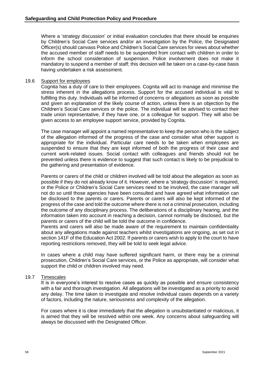Where a 'strategy discussion' or initial evaluation concludes that there should be enquiries by Children's Social Care services and/or an investigation by the Police, the Designated Officer(s) should canvass Police and Children's Social Care services for views about whether the accused member of staff needs to be suspended from contact with children in order to inform the school consideration of suspension. Police involvement does not make it mandatory to suspend a member of staff; this decision will be taken on a case-by-case basis having undertaken a risk assessment.

#### <span id="page-57-0"></span>19.6 Support for employees

Cognita has a duty of care to their employees. Cognita will act to manage and minimise the stress inherent in the allegations process. Support for the accused individual is vital to fulfilling this duty. Individuals will be informed of concerns or allegations as soon as possible and given an explanation of the likely course of action, unless there is an objection by the Children's Social Care services or the police. The individual will be advised to contact their trade union representative, if they have one, or a colleague for support. They will also be given access to an employee support service, provided by Cognita.

The case manager will appoint a named representative to keep the person who is the subject of the allegation informed of the progress of the case and consider what other support is appropriate for the individual. Particular care needs to be taken when employees are suspended to ensure that they are kept informed of both the progress of their case and current work-related issues. Social contact with colleagues and friends should not be prevented unless there is evidence to suggest that such contact is likely to be prejudicial to the gathering and presentation of evidence.

Parents or carers of the child or children involved will be told about the allegation as soon as possible if they do not already know of it. However, where a 'strategy discussion' is required, or the Police or Children's Social Care services need to be involved, the case manager will not do so until those agencies have been consulted and have agreed what information can be disclosed to the parents or carers. Parents or carers will also be kept informed of the progress of the case and told the outcome where there is not a criminal prosecution, including the outcome of any disciplinary process. The deliberations of a disciplinary hearing, and the information taken into account in reaching a decision, cannot normally be disclosed, but the parents or carers of the child will be told the outcome in confidence.

Parents and carers will also be made aware of the requirement to maintain confidentiality about any allegations made against teachers whilst investigations are ongoing, as set out in section 141F of the Education Act 2002. If parents or carers wish to apply to the court to have reporting restrictions removed, they will be told to seek legal advice.

In cases where a child may have suffered significant harm, or there may be a criminal prosecution, Children's Social Care services, or the Police as appropriate, will consider what support the child or children involved may need.

#### <span id="page-57-1"></span>19.7 Timescales

It is in everyone's interest to resolve cases as quickly as possible and ensure consistency with a fair and thorough investigation. All allegations will be investigated as a priority to avoid any delay. The time taken to investigate and resolve individual cases depends on a variety of factors, including the nature, seriousness and complexity of the allegation.

For cases where it is clear immediately that the allegation is unsubstantiated or malicious, it is aimed that they will be resolved within one week. Any concerns about safeguarding will always be discussed with the Designated Officer.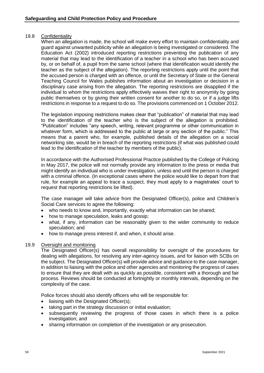#### <span id="page-58-0"></span>19.8 Confidentiality

When an allegation is made, the school will make every effort to maintain confidentiality and guard against unwanted publicity while an allegation is being investigated or considered. The Education Act (2002) introduced reporting restrictions preventing the publication of any material that may lead to the identification of a teacher in a school who has been accused by, or on behalf of, a pupil from the same school (where that identification would identify the teacher as the subject of the allegation). The reporting restrictions apply until the point that the accused person is charged with an offence, or until the Secretary of State or the General Teaching Council for Wales publishes information about an investigation or decision in a disciplinary case arising from the allegation. The reporting restrictions are disapplied if the individual to whom the restrictions apply effectively waives their right to anonymity by going public themselves or by giving their written consent for another to do so, or if a judge lifts restrictions in response to a request to do so. The provisions commenced on 1 October 2012.

The legislation imposing restrictions makes clear that "publication" of material that may lead to the identification of the teacher who is the subject of the allegation is prohibited. "Publication" includes "any speech, writing, relevant programme or other communication in whatever form, which is addressed to the public at large or any section of the public." This means that a parent who, for example, published details of the allegation on a social networking site, would be in breach of the reporting restrictions (if what was published could lead to the identification of the teacher by members of the public).

In accordance with the Authorised Professional Practice published by the College of Policing in May 2017, the police will not normally provide any information to the press or media that might identify an individual who is under investigation, unless and until the person is charged with a criminal offence. (In exceptional cases where the police would like to depart from that rule, for example an appeal to trace a suspect, they must apply to a magistrates' court to request that reporting restrictions be lifted).

The case manager will take advice from the Designated Officer(s), police and Children's Social Care services to agree the following:

- who needs to know and, importantly, exactly what information can be shared;
- how to manage speculation, leaks and gossip:
- what, if any, information can be reasonably given to the wider community to reduce speculation; and
- how to manage press interest if, and when, it should arise.

#### <span id="page-58-1"></span>19.9 Oversight and monitoring

The Designated Officer(s) has overall responsibility for oversight of the procedures for dealing with allegations, for resolving any inter-agency issues, and for liaison with SCBs on the subject. The Designated Officer(s) will provide advice and guidance to the case manager, in addition to liaising with the police and other agencies and monitoring the progress of cases to ensure that they are dealt with as quickly as possible, consistent with a thorough and fair process. Reviews should be conducted at fortnightly or monthly intervals, depending on the complexity of the case.

Police forces should also identify officers who will be responsible for:

- liaising with the Designated Officer(s);
- taking part in the strategy discussion or initial evaluation;
- subsequently reviewing the progress of those cases in which there is a police investigation; and
- sharing information on completion of the investigation or any prosecution.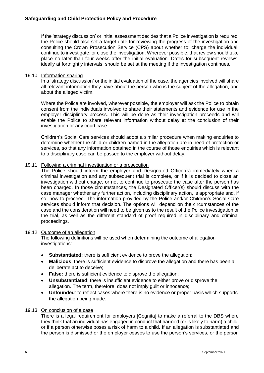If the 'strategy discussion' or initial assessment decides that a Police investigation is required, the Police should also set a target date for reviewing the progress of the investigation and consulting the Crown Prosecution Service (CPS) about whether to: charge the individual; continue to investigate; or close the investigation. Wherever possible, that review should take place no later than four weeks after the initial evaluation. Dates for subsequent reviews, ideally at fortnightly intervals, should be set at the meeting if the investigation continues.

#### <span id="page-59-0"></span>19.10 Information sharing

In a 'strategy discussion' or the initial evaluation of the case, the agencies involved will share all relevant information they have about the person who is the subject of the allegation, and about the alleged victim.

Where the Police are involved, wherever possible, the employer will ask the Police to obtain consent from the individuals involved to share their statements and evidence for use in the employer disciplinary process. This will be done as their investigation proceeds and will enable the Police to share relevant information without delay at the conclusion of their investigation or any court case.

Children's Social Care services should adopt a similar procedure when making enquiries to determine whether the child or children named in the allegation are in need of protection or services, so that any information obtained in the course of those enquiries which is relevant to a disciplinary case can be passed to the employer without delay.

#### <span id="page-59-1"></span>19.11 Following a criminal investigation or a prosecution

The Police should inform the employer and Designated Officer(s) immediately when a criminal investigation and any subsequent trial is complete, or if it is decided to close an investigation without charge, or not to continue to prosecute the case after the person has been charged. In those circumstances, the Designated Officer(s) should discuss with the case manager whether any further action, including disciplinary action, is appropriate and, if so, how to proceed. The information provided by the Police and/or Children's Social Care services should inform that decision. The options will depend on the circumstances of the case and the consideration will need to be given as to the result of the Police investigation or the trial, as well as the different standard of proof required in disciplinary and criminal proceedings.

#### <span id="page-59-2"></span>19.12 Outcome of an allegation

The following definitions will be used when determining the outcome of allegation investigations:

- **Substantiated:** there is sufficient evidence to prove the allegation;
- **Malicious**: there is sufficient evidence to disprove the allegation and there has been a deliberate act to deceive;
- **False:** there is sufficient evidence to disprove the allegation;
- **Unsubstantiated**: there is insufficient evidence to either prove or disprove the allegation. The term, therefore, does not imply guilt or innocence;
- **Unfounded**: to reflect cases where there is no evidence or proper basis which supports the allegation being made.

#### <span id="page-59-3"></span>19.13 On conclusion of a case

There is a legal requirement for employers [Cognita] to make a referral to the DBS where they think that an individual has engaged in conduct that harmed (or is likely to harm) a child; or if a person otherwise poses a risk of harm to a child. If an allegation is substantiated and the person is dismissed or the employer ceases to use the person's services, or the person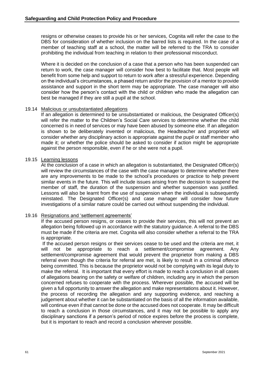resigns or otherwise ceases to provide his or her services, Cognita will refer the case to the DBS for consideration of whether inclusion on the barred lists is required. In the case of a member of teaching staff at a school, the matter will be referred to the TRA to consider prohibiting the individual from teaching in relation to their professional misconduct.

Where it is decided on the conclusion of a case that a person who has been suspended can return to work, the case manager will consider how best to facilitate that. Most people will benefit from some help and support to return to work after a stressful experience. Depending on the individual's circumstances, a phased return and/or the provision of a mentor to provide assistance and support in the short term may be appropriate. The case manager will also consider how the person's contact with the child or children who made the allegation can best be managed if they are still a pupil at the school.

#### <span id="page-60-0"></span>19.14 Malicious or unsubstantiated allegations

If an allegation is determined to be unsubstantiated or malicious, the Designated Officer(s) will refer the matter to the Children's Social Care services to determine whether the child concerned is in need of services or may have been abused by someone else. If an allegation is shown to be deliberately invented or malicious, the Headteacher and proprietor will consider whether any disciplinary action is appropriate against the pupil or staff member who made it; or whether the police should be asked to consider if action might be appropriate against the person responsible, even if he or she were not a pupil.

#### <span id="page-60-1"></span>19.15 Learning lessons

At the conclusion of a case in which an allegation is substantiated, the Designated Officer(s) will review the circumstances of the case with the case manager to determine whether there are any improvements to be made to the school's procedures or practice to help prevent similar events in the future. This will include issues arising from the decision to suspend the member of staff, the duration of the suspension and whether suspension was justified. Lessons will also be learnt from the use of suspension when the individual is subsequently reinstated. The Designated Officer(s) and case manager will consider how future investigations of a similar nature could be carried out without suspending the individual.

#### <span id="page-60-2"></span>19.16 Resignations and 'settlement agreements'

If the accused person resigns, or ceases to provide their services, this will not prevent an allegation being followed up in accordance with the statutory guidance. A referral to the DBS must be made if the criteria are met. Cognita will also consider whether a referral to the TRA is appropriate.

If the accused person resigns or their services cease to be used and the criteria are met, it will not be appropriate to reach a settlement/compromise agreement. Any settlement/compromise agreement that would prevent the proprietor from making a DBS referral even though the criteria for referral are met, is likely to result in a criminal offence being committed. This is because the proprietor would not be complying with its legal duty to make the referral. It is important that every effort is made to reach a conclusion in all cases of allegations bearing on the safety or welfare of children, including any in which the person concerned refuses to cooperate with the process. Wherever possible, the accused will be given a full opportunity to answer the allegation and make representations about it. However, the process of recording the allegation and any supporting evidence, and reaching a judgement about whether it can be substantiated on the basis of all the information available, will continue even if that cannot be done or the accused does not cooperate. It may be difficult to reach a conclusion in those circumstances, and it may not be possible to apply any disciplinary sanctions if a person's period of notice expires before the process is complete, but it is important to reach and record a conclusion wherever possible.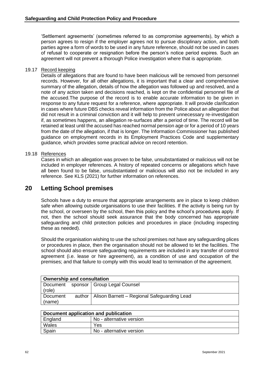'Settlement agreements' (sometimes referred to as compromise agreements), by which a person agrees to resign if the employer agrees not to pursue disciplinary action, and both parties agree a form of words to be used in any future reference, should not be used in cases of refusal to cooperate or resignation before the person's notice period expires. Such an agreement will not prevent a thorough Police investigation where that is appropriate.

#### <span id="page-61-0"></span>19.17 Record keeping

Details of allegations that are found to have been malicious will be removed from personnel records. However, for all other allegations, it is important that a clear and comprehensive summary of the allegation, details of how the allegation was followed up and resolved, and a note of any action taken and decisions reached, is kept on the confidential personnel file of the accused.The purpose of the record is to enable accurate information to be given in response to any future request for a reference, where appropriate. It will provide clarification in cases where future DBS checks reveal information from the Police about an allegation that did not result in a criminal conviction and it will help to prevent unnecessary re-investigation if, as sometimes happens, an allegation re-surfaces after a period of time. The record will be retained at least until the accused has reached normal pension age or for a period of 10 years from the date of the allegation, if that is longer. The Information Commissioner has published guidance on employment records in its Employment Practices Code and supplementary guidance, which provides some practical advice on record retention.

#### <span id="page-61-1"></span>19.18 References

Cases in which an allegation was proven to be false, unsubstantiated or malicious will not be included in employer references. A history of repeated concerns or allegations which have all been found to be false, unsubstantiated or malicious will also not be included in any reference. See KLS (2021) for further information on references.

## **20 Letting School premises**

Schools have a duty to ensure that appropriate arrangements are in place to keep children safe when allowing outside organisations to use their facilities. If the activity is being run by the school, or overseen by the school, then this policy and the school's procedures apply. If not, then the school should seek assurance that the body concerned has appropriate safeguarding and child protection policies and procedures in place (including inspecting these as needed).

Should the organisation wishing to use the school premises not have any safeguarding plices or procedures in place, then the organisation should not be allowed to let the facilities. The school should also ensure safeguarding requirements are included in any transfer of control agreement (i.e. lease or hire agreement), as a condition of use and occupation of the premises; and that failure to comply with this would lead to termination of the agreement.

| <b>Ownership and consultation</b> |  |                                                      |  |
|-----------------------------------|--|------------------------------------------------------|--|
|                                   |  | Document sponsor   Group Legal Counsel               |  |
| (role)                            |  |                                                      |  |
| Document                          |  | author   Alison Barnett - Regional Safeguarding Lead |  |
| (name)                            |  |                                                      |  |

| Document application and publication |                          |  |
|--------------------------------------|--------------------------|--|
| England                              | No - alternative version |  |
| Wales                                | Yes.                     |  |
| Spain                                | No - alternative version |  |